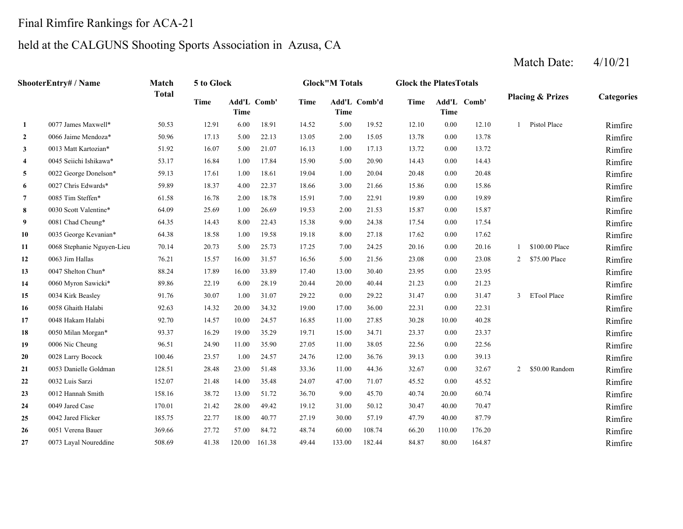## Final Rimfire Rankings for ACA-21

### held at the CALGUNS Shooting Sports Association in Azusa, CA

#### **2**0066 Jaime Mendoza\* 50.96 17.13 5.00 22.13 13.05 2.00 15.05 13.78 **3**0013 Matt Kartozian\* 51.92 16.07 5.00 21.07 16.13 1.00 17.13 13.72 **4**0045 Seiichi Ishikawa\* 53.17 16.84 1.00 17.84 15.90 5.00 20.90 14.43 **5**0022 George Donelson\* 59.13 17.61 1.00 18.61 19.04 1.00 20.04 20.48 **6**0027 Chris Edwards\* 59.89 18.37 4.00 22.37 18.66 3.00 21.66 15.86 **7**0085 Tim Steffen\* 61.58 16.78 2.00 18.78 15.91 7.00 22.91 19.89 **8**0030 Scott Valentine\* 64.09 25.69 1.00 26.69 19.53 2.00 21.53 15.87 **9**0081 Chad Cheung\* 64.35 14.43 8.00 22.43 15.38 9.00 24.38 17.54 **10**0 0035 George Kevanian\* 64.38 18.58 1.00 19.58 19.18 8.00 27.18 17.62 0.00 17.62 17.62 Rimfire **11**1 0068 Stephanie Nguyen-Lieu 70.14 20.73 5.00 25.73 17.25 7.00 24.25 20.16 0.00 20.16 1 \$100.00 Place Rimfire **12**0063 Jim Hallas **16.21** 15.57 16.00 31.57 16.56 5.00 21.56 23.08 **13**0047 Shelton Chun\* 88.24 17.89 16.00 33.89 17.40 13.00 30.40 23.95 **14**0060 Myron Sawicki\* 89.86 22.19 6.00 28.19 20.44 20.00 40.44 21.23 **15**0.034 Kirk Beasley 91.76 30.07 1.00 31.07 29.22 0.00 29.22 31.47 **16**0058 Ghaith Halabi 22.63 14.32 20.00 34.32 19.00 17.00 36.00 22.31 **17**0048 Hakam Halabi <br>92.70 14.57 10.00 24.57 16.85 11.00 27.85 30.28 **18**0050 Milan Morgan\* 93.37 16.29 19.00 35.29 19.71 15.00 34.71 23.37 **19**0006 Nic Cheung 22.56 96.51 24.90 11.00 35.90 27.05 11.00 38.05 22.56 **20**0028 Larry Bocock 100.46 23.57 1.00 24.57 24.76 12.00 36.76 39.13 **21**0053 Danielle Goldman 128.51 28.48 23.00 51.48 33.36 11.00 44.36 32.67 **22**2 0032 Luis Sarzi 152.07 21.48 14.00 35.48 24.07 47.00 71.07 45.52 **23**0012 Hannah Smith 158.16 38.72 13.00 51.72 36.70 9.00 45.70 40.74 **24**0049 Jared Case 170.01 21.42 28.00 49.42 19.12 31.00 50.12 30.47 **25**0042 Jared Flicker **185.75** 22.77 18.00 40.77 27.19 30.00 57.19 47.79 **26**0051 Verena Bauer 66.20 369.66 27.72 57.00 84.72 48.74 60.00 108.74 66.20 **27**0073 Layal Noureddine 508.69 41.38 120.00 161.38 49.44 133.00 182.44 84.87 **ShooterEntry# / Name Match Total5 to Glock Glock"M Totals Glock the PlatesTotals Placing & Prizes Categories Time Add'L Time Comb' Time Add'L Comb'd Time Add'L Time Time** Add'L Comb' **1**1 0077 James Maxwell\* 50.53 12.91 6.00 18.91 14.52 5.00 19.52 12.10 0.00 12.10 1 Pistol Place Rimfire 0066 Jaime Mendoza\* 50.96 17.13 5.00 22.13 13.05 15.05 0.00 13.78 Rimfire0013 Matt Kartozian\* 51.92 16.07 5.00 21.07 16.13 17.13 0.00 13.72 Rimfire0045 Seiichi Ishikawa\* 53.17 16.84 1.00 17.84 15.90 20.90 0.00 14.43 Rimfire0022 George Donelson\* 59.13 17.61 1.00 18.61 19.04 1.00 20.04 20.48 0.00 20.48 Rimfire 0027 Chris Edwards\* 59.89 18.37 4.00 22.37 18.66 21.66 0.00 15.86 Rimfire0085 Tim Steffen\* 61.58 16.78 2.00 18.78 15.91 22.91 0.00 19.89 Rimfire0030 Scott Valentine\* 64.09 25.69 1.00 26.69 19.53 21.53 0.00 15.87 Rimfire0081 Chad Cheung\* 64.35 14.43 8.00 22.43 15.38 9.00 24.38 17.54 0.00 17.54 17.54 Rimfire 0063 Jim Hallas 2006 23.08 2 5.00 21.56 23.08 0.00 23.08 2 2 275.00 Place Rimfire 0047 Shelton Chun\* 88.24 17.89 16.00 33.89 17.40 30.40 23.95 Rimfire 0060 Myron Sawicki\* 89.86 22.19 6.00 28.19 20.44 40.44 0.00 21.23 Rimfire0034 Kirk Beasley 91.76 30.07 1.00 31.07 29.22 29.22 0.00 31.47 3 ETool Place Rimfire0058 Ghaith Halabi 92.63 14.32 20.00 34.32 19.00 36.00 0.00 22.31 Rimfire0048 Hakam Halabi 92.70 14.57 10.00 24.57 16.85 27.85 10.00 40.28 Rimfire0050 Milan Morgan\* 93.37 16.29 19.00 35.29 19.71 34.71 0.00 23.37 Rimfire0006 Nic Cheung 96.51 24.90 11.00 35.90 27.05 38.05 0.00 22.56 Rimfire0028 Larry Bocock 100.46 23.57 1.00 24.57 24.76 36.76 0.00 39.13 Rimfire0053 Danielle Goldman 128.51 28.48 23.00 51.48 33.36 11.00 44.36 32.67 0.00 32.67 2 \$50.00 Random Rimfire 0032 Luis Sarzi 152.07 21.48 14.00 35.48 24.07 71.07 0.00 45.52 Rimfire0012 Hannah Smith 158.16 38.72 13.00 51.72 36.70 9.00 45.70 40.74 20.00 60.74 Rimfire 0049 Jared Case 170.01 21.42 28.00 49.42 19.12 50.12 40.00 70.47 Rimfire0042 Jared Flicker 185.75 22.77 18.00 40.77 27.19 57.19 40.00 87.79 Rimfire0051 Verena Bauer 369.66 27.72 57.00 84.72 48.74 108.74 110.00 176.20 Rimfire0073 Layal Noureddine 508.69 41.38 120.00 161.38 49.44 133.00 182.44 84.87 80.00 164.87 Rimfire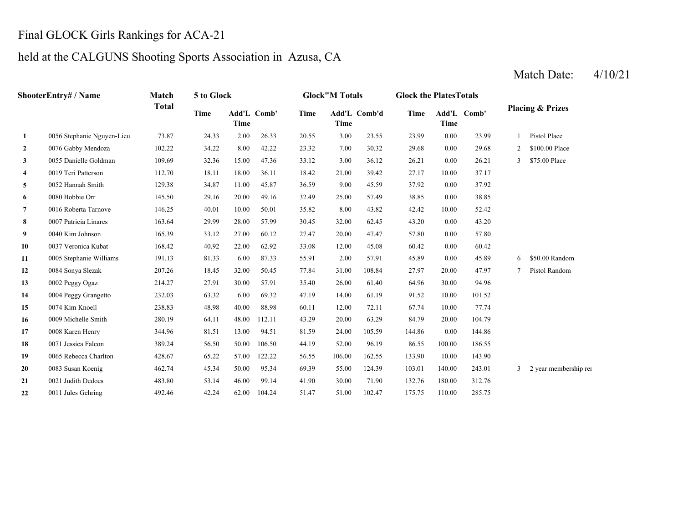## Final GLOCK Girls Rankings for ACA-21

**21**

**22**

#### held at the CALGUNS Shooting Sports Association in Azusa, CA

#### **2** 7.00 29.68 0076 Gabby Mendoza 102.22 34.22 8.00 42.22 23.32 30.32 0.00 29.68 2 \$100.00 Place **3**3 0055 Danielle Goldman 109.69 32.36 15.00 47.36 33.12 3.00 36.12 26.21 0.00 26.21 3 \$75.00 Place **4**4 0019 Teri Patterson 112.70 18.11 18.00 36.11 18.42 21.00 39.42 27.17 10.00 37.17 **5** 9.00 37.92 0052 Hannah Smith 129.38 34.87 11.00 45.87 36.59 45.59 0.00 37.92 **6** 25.00 38.85 **7** 8.00 42.42 0016 Roberta Tarnove 146.25 40.01 10.00 50.01 35.82 43.82 10.00 52.42 **8** 32.00 43.20 0007 Patricia Linares 163.64 29.99 28.00 57.99 30.45 62.45 0.00 43.20 **9** 20.00 57.80 0040 Kim Johnson 165.39 33.12 27.00 60.12 27.47 47.47 0.00 57.80 **10**0 0037 Veronica Kubat 168.42 40.92 22.00 62.92 33.08 12.00 45.08 60.42 0.00 60.42 **11** 2.00 45.89 0005 Stephanie Williams 191.13 81.33 6.00 87.33 55.91 57.91 0.00 45.89 6 \$50.00 Random **12**0084 Sonya Slezak 207.26 18.45 32.00 50.45 77.84 31.00 108.84 27.97 **13** 26.00 64.96 0002 Peggy Ogaz 214.27 27.91 30.00 57.91 35.40 61.40 30.00 94.96 **14** 14.00 91.52 0004 Peggy Grangetto 232.03 63.32 6.00 69.32 47.19 61.19 10.00 101.52 **15** 12.00 67.74 0074 Kim Knoell 238.83 48.98 40.00 88.98 60.11 72.11 10.00 77.74 **16** 20.00 84.79 0009 Michelle Smith 280.19 64.11 48.00 112.11 43.29 63.29 20.00 104.79 **17** 24.00 144.86 0008 Karen Henry 344.96 81.51 13.00 94.51 81.59 105.59 0.00 144.86 **18** 52.00 86.55 0071 Jessica Falcon 389.24 56.50 50.00 106.50 44.19 96.19 100.00 186.55 **19** 106.00 133.90 0065 Rebecca Charlton 428.67 65.22 57.00 122.22 56.55 162.55 10.00 143.90 **20** 55.00 103.01 **ShooterEntry# / Name Match Total 5 to Glock Glock"M Totals Glock the PlatesTotals Placing & Prizes Time Add'L TimeComb' Time Add'L Comb'd Time Add'L Time Time Comb' 1** 0056 Stephanie Nguyen-Lieu 73.87 24.33 2.00 26.33 20.55 3.00 23.55 23.99 0.00 23.99 1 Pistol Place 0080 Bobbie Orr 145.50 29.16 20.00 49.16 32.49 57.49 0.00 38.85 0084 Sonya Slezak 207.26 18.45 32.00 50.45 77.84 108.84 20.00 47.97 7 Pistol Random  $140.00$   $243.01$   $3$  2 year membership ren

30.00 132.76 0021 Judith Dedoes 483.80 53.14 46.00 99.14 41.90 71.90 180.00 312.76

51.00 175.75 0011 Jules Gehring 492.46 42.24 62.00 104.24 51.47 102.47 110.00 285.75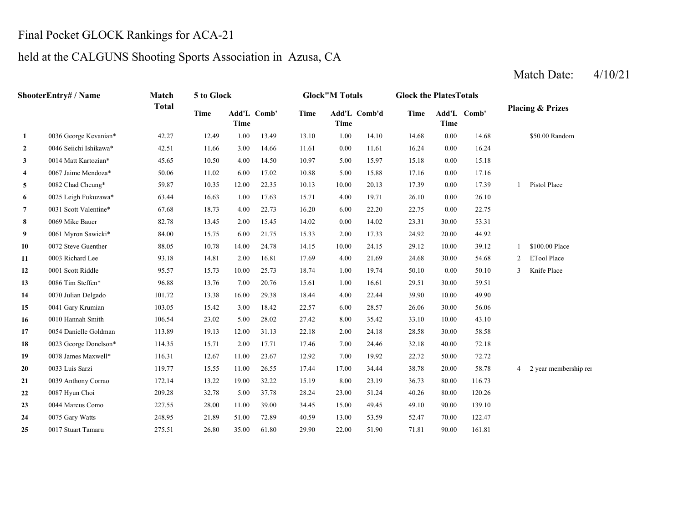# Final Pocket GLOCK Rankings for ACA-21

# held at the CALGUNS Shooting Sports Association in Azusa, CA

| <b>ShooterEntry# / Name</b> |                        | Match        | 5 to Glock  |             |             | <b>Glock"M Totals</b> |             |              | <b>Glock the PlatesTotals</b> |             |             |                |                             |
|-----------------------------|------------------------|--------------|-------------|-------------|-------------|-----------------------|-------------|--------------|-------------------------------|-------------|-------------|----------------|-----------------------------|
|                             |                        | <b>Total</b> | <b>Time</b> | <b>Time</b> | Add'L Comb' | <b>Time</b>           | <b>Time</b> | Add'L Comb'd | <b>Time</b>                   | <b>Time</b> | Add'L Comb' |                | <b>Placing &amp; Prizes</b> |
| 1                           | 0036 George Kevanian*  | 42.27        | 12.49       | 1.00        | 13.49       | 13.10                 | 1.00        | 14.10        | 14.68                         | $0.00\,$    | 14.68       |                | \$50.00 Random              |
| $\overline{2}$              | 0046 Seiichi Ishikawa* | 42.51        | 11.66       | 3.00        | 14.66       | 11.61                 | 0.00        | 11.61        | 16.24                         | 0.00        | 16.24       |                |                             |
| 3                           | 0014 Matt Kartozian*   | 45.65        | 10.50       | 4.00        | 14.50       | 10.97                 | 5.00        | 15.97        | 15.18                         | 0.00        | 15.18       |                |                             |
| $\overline{\mathbf{4}}$     | 0067 Jaime Mendoza*    | 50.06        | 11.02       | 6.00        | 17.02       | 10.88                 | 5.00        | 15.88        | 17.16                         | 0.00        | 17.16       |                |                             |
| 5                           | 0082 Chad Cheung*      | 59.87        | 10.35       | 12.00       | 22.35       | 10.13                 | 10.00       | 20.13        | 17.39                         | 0.00        | 17.39       | $\mathbf{1}$   | Pistol Place                |
| 6                           | 0025 Leigh Fukuzawa*   | 63.44        | 16.63       | 1.00        | 17.63       | 15.71                 | 4.00        | 19.71        | 26.10                         | $0.00\,$    | 26.10       |                |                             |
| $\overline{7}$              | 0031 Scott Valentine*  | 67.68        | 18.73       | 4.00        | 22.73       | 16.20                 | 6.00        | 22.20        | 22.75                         | 0.00        | 22.75       |                |                             |
| 8                           | 0069 Mike Bauer        | 82.78        | 13.45       | 2.00        | 15.45       | 14.02                 | 0.00        | 14.02        | 23.31                         | 30.00       | 53.31       |                |                             |
| 9                           | 0061 Myron Sawicki*    | 84.00        | 15.75       | 6.00        | 21.75       | 15.33                 | 2.00        | 17.33        | 24.92                         | 20.00       | 44.92       |                |                             |
| 10                          | 0072 Steve Guenther    | 88.05        | 10.78       | 14.00       | 24.78       | 14.15                 | 10.00       | 24.15        | 29.12                         | 10.00       | 39.12       | $\mathbf{1}$   | \$100.00 Place              |
| 11                          | 0003 Richard Lee       | 93.18        | 14.81       | 2.00        | 16.81       | 17.69                 | 4.00        | 21.69        | 24.68                         | 30.00       | 54.68       | 2              | <b>ETool Place</b>          |
| 12                          | 0001 Scott Riddle      | 95.57        | 15.73       | 10.00       | 25.73       | 18.74                 | 1.00        | 19.74        | 50.10                         | 0.00        | 50.10       | $\mathfrak{Z}$ | Knife Place                 |
| 13                          | 0086 Tim Steffen*      | 96.88        | 13.76       | 7.00        | 20.76       | 15.61                 | 1.00        | 16.61        | 29.51                         | 30.00       | 59.51       |                |                             |
| 14                          | 0070 Julian Delgado    | 101.72       | 13.38       | 16.00       | 29.38       | 18.44                 | 4.00        | 22.44        | 39.90                         | 10.00       | 49.90       |                |                             |
| 15                          | 0041 Gary Krumian      | 103.05       | 15.42       | 3.00        | 18.42       | 22.57                 | 6.00        | 28.57        | 26.06                         | 30.00       | 56.06       |                |                             |
| 16                          | 0010 Hannah Smith      | 106.54       | 23.02       | 5.00        | 28.02       | 27.42                 | 8.00        | 35.42        | 33.10                         | 10.00       | 43.10       |                |                             |
| 17                          | 0054 Danielle Goldman  | 113.89       | 19.13       | 12.00       | 31.13       | 22.18                 | 2.00        | 24.18        | 28.58                         | 30.00       | 58.58       |                |                             |
| 18                          | 0023 George Donelson*  | 114.35       | 15.71       | 2.00        | 17.71       | 17.46                 | 7.00        | 24.46        | 32.18                         | 40.00       | 72.18       |                |                             |
| 19                          | 0078 James Maxwell*    | 116.31       | 12.67       | 11.00       | 23.67       | 12.92                 | 7.00        | 19.92        | 22.72                         | 50.00       | 72.72       |                |                             |
| 20                          | 0033 Luis Sarzi        | 119.77       | 15.55       | 11.00       | 26.55       | 17.44                 | 17.00       | 34.44        | 38.78                         | 20.00       | 58.78       | 4              | 2 year membership ren       |
| 21                          | 0039 Anthony Corrao    | 172.14       | 13.22       | 19.00       | 32.22       | 15.19                 | 8.00        | 23.19        | 36.73                         | 80.00       | 116.73      |                |                             |
| 22                          | 0087 Hyun Choi         | 209.28       | 32.78       | 5.00        | 37.78       | 28.24                 | 23.00       | 51.24        | 40.26                         | 80.00       | 120.26      |                |                             |
| 23                          | 0044 Marcus Como       | 227.55       | 28.00       | 11.00       | 39.00       | 34.45                 | 15.00       | 49.45        | 49.10                         | 90.00       | 139.10      |                |                             |
| 24                          | 0075 Gary Watts        | 248.95       | 21.89       | 51.00       | 72.89       | 40.59                 | 13.00       | 53.59        | 52.47                         | 70.00       | 122.47      |                |                             |
| 25                          | 0017 Stuart Tamaru     | 275.51       | 26.80       | 35.00       | 61.80       | 29.90                 | 22.00       | 51.90        | 71.81                         | 90.00       | 161.81      |                |                             |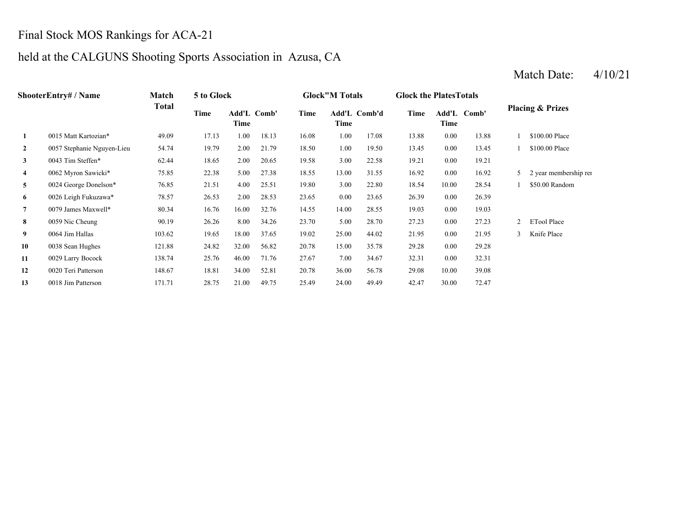## Final Stock MOS Rankings for ACA-21

## held at the CALGUNS Shooting Sports Association in Azusa, CA

#### **2**2 0057 Stephanie Nguyen-Lieu 54.74 19.79 2.00 21.79 18.50 1.00 19.50 13.45 0.00 13.45 1 \$100.00 Place **3**3 0043 Tim Steffen\* 62.44 18.65 2.00 20.65 19.58 3.00 22.58 19.21 0.00 19.21 **4**0062 Myron Sawicki\* 75.85 22.38 5.00 27.38 18.55 13.00 31.55 16.92 **5** 3.00 18.54 0024 George Donelson\* 76.85 21.51 4.00 25.51 19.80 22.80 10.00 28.54 1 \$50.00 Random **6** 0.00 26.39 0026 Leigh Fukuzawa\* 78.57 26.53 2.00 28.53 23.65 23.65 0.00 26.39 **7** 14.00 19.03 0079 James Maxwell\* 80.34 16.76 16.00 32.76 14.55 28.55 0.00 19.03 **8**0059 Nic Cheung 20.19 26.26 8.00 34.26 23.70 5.00 28.70 27.23 **9**0064 Jim Hallas 103.62 19.65 18.00 37.65 19.02 25.00 44.02 21.95 **10** 15.00 29.28 0038 Sean Hughes 121.88 24.82 32.00 56.82 20.78 35.78 0.00 29.28 **11**1 0029 Larry Bocock 138.74 25.76 46.00 71.76 27.67 7.00 34.67 32.31 0.00 32.31 **12** 36.00 29.08 0020 Teri Patterson 148.67 18.81 34.00 52.81 20.78 56.78 10.00 39.08 **13ShooterEntry# / Name Match Total 5 to Glock Glock"M Totals Glock the PlatesTotals Placing & Prizes Time Add'L Time Comb' Time Add'L Comb'd Time Add'L Time Time Comb' 1**0015 Matt Kartozian\* 49.09 17.13 1.00 18.13 16.08 1.00 17.08 13.88 0.00 13.88 1 \$100.00 Place 0.00 16.92 5 2 year membership ren 0059 Nic Cheung 90.19 26.26 8.00 34.26 23.70 28.70 0.00 27.23 2 ETool Place 0064 Jim Hallas 103.62 19.65 18.00 37.65 19.02 44.02 0.00 21.95 3 Knife Place

3 0018 Jim Patterson 171.71 28.75 21.00 49.75 25.49 24.00 49.49 42.47 30.00 72.47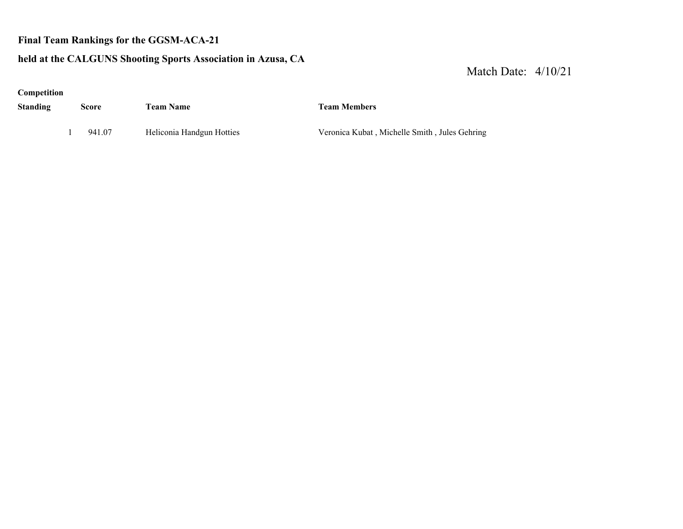#### **Final Team Rankings for the GGSM-ACA-21**

#### **held at the CALGUNS Shooting Sports Association in Azusa, CA**

Match Date: 4/10/21

**Competition**

| <b>Standing</b> | Score | <b>Team Name</b> | <b>Team Members</b> |
|-----------------|-------|------------------|---------------------|
|                 |       |                  |                     |

1 941.07 Heliconia Handgun Hotties Veronica Kubat , Michelle Smith , Jules Gehring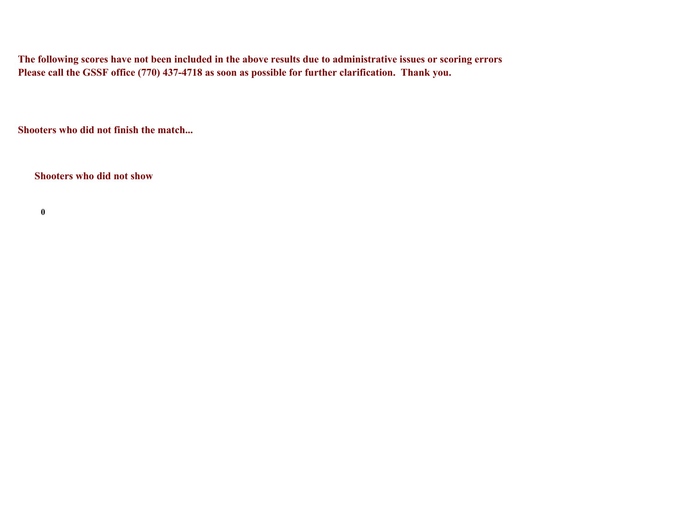**The following scores have not been included in the above results due to administrative issues or scoring errors Please call the GSSF office (770) 437-4718 as soon as possible for further clarification. Thank you.**

**Shooters who did not finish the match...**

**Shooters who did not show**

**0**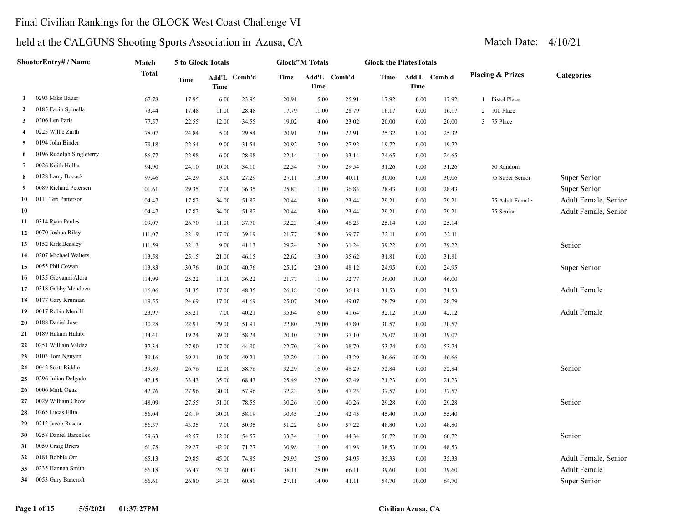### Final Civilian Rankings for the GLOCK West Coast Challenge VI

| ShooterEntry# / Name |                          | Match  | 5 to Glock Totals |       |              |       | <b>Glock"M Totals</b> |              |       | <b>Glock the PlatesTotals</b> |              |                             |                      |
|----------------------|--------------------------|--------|-------------------|-------|--------------|-------|-----------------------|--------------|-------|-------------------------------|--------------|-----------------------------|----------------------|
|                      |                          | Total  | Time              | Time  | Add'L Comb'd | Time  | Time                  | Add'L Comb'd | Time  | Time                          | Add'L Comb'd | <b>Placing &amp; Prizes</b> | <b>Categories</b>    |
| -1                   | 0293 Mike Bauer          | 67.78  | 17.95             | 6.00  | 23.95        | 20.91 | 5.00                  | 25.91        | 17.92 | 0.00                          | 17.92        | 1 Pistol Place              |                      |
| $\overline{2}$       | 0185 Fabio Spinella      | 73.44  | 17.48             | 11.00 | 28.48        | 17.79 | 11.00                 | 28.79        | 16.17 | 0.00                          | 16.17        | 100 Place<br>$\overline{2}$ |                      |
| 3                    | 0306 Len Paris           | 77.57  | 22.55             | 12.00 | 34.55        | 19.02 | 4.00                  | 23.02        | 20.00 | 0.00                          | 20.00        | 3 75 Place                  |                      |
| $\overline{\bf{4}}$  | 0225 Willie Zarth        | 78.07  | 24.84             | 5.00  | 29.84        | 20.91 | 2.00                  | 22.91        | 25.32 | 0.00                          | 25.32        |                             |                      |
| 5                    | 0194 John Binder         | 79.18  | 22.54             | 9.00  | 31.54        | 20.92 | 7.00                  | 27.92        | 19.72 | 0.00                          | 19.72        |                             |                      |
| 6                    | 0196 Rudolph Singleterry | 86.77  | 22.98             | 6.00  | 28.98        | 22.14 | 11.00                 | 33.14        | 24.65 | 0.00                          | 24.65        |                             |                      |
| $7\phantom{.0}$      | 0026 Keith Hollar        | 94.90  | 24.10             | 10.00 | 34.10        | 22.54 | 7.00                  | 29.54        | 31.26 | 0.00                          | 31.26        | 50 Random                   |                      |
| 8                    | 0128 Larry Bocock        | 97.46  | 24.29             | 3.00  | 27.29        | 27.11 | 13.00                 | 40.11        | 30.06 | 0.00                          | 30.06        | 75 Super Senior             | Super Senior         |
| -9                   | 0089 Richard Petersen    | 101.61 | 29.35             | 7.00  | 36.35        | 25.83 | 11.00                 | 36.83        | 28.43 | 0.00                          | 28.43        |                             | Super Senior         |
| 10                   | 0111 Teri Patterson      | 104.47 | 17.82             | 34.00 | 51.82        | 20.44 | 3.00                  | 23.44        | 29.21 | 0.00                          | 29.21        | 75 Adult Female             | Adult Female, Senior |
| 10                   |                          | 104.47 | 17.82             | 34.00 | 51.82        | 20.44 | 3.00                  | 23.44        | 29.21 | 0.00                          | 29.21        | 75 Senior                   | Adult Female, Senior |
| 11                   | 0314 Ryan Paules         | 109.07 | 26.70             | 11.00 | 37.70        | 32.23 | 14.00                 | 46.23        | 25.14 | 0.00                          | 25.14        |                             |                      |
| 12                   | 0070 Joshua Riley        | 111.07 | 22.19             | 17.00 | 39.19        | 21.77 | 18.00                 | 39.77        | 32.11 | 0.00                          | 32.11        |                             |                      |
| 13                   | 0152 Kirk Beasley        | 111.59 | 32.13             | 9.00  | 41.13        | 29.24 | 2.00                  | 31.24        | 39.22 | 0.00                          | 39.22        |                             | Senior               |
| 14                   | 0207 Michael Walters     | 113.58 | 25.15             | 21.00 | 46.15        | 22.62 | 13.00                 | 35.62        | 31.81 | 0.00                          | 31.81        |                             |                      |
| 15                   | 0055 Phil Cowan          | 113.83 | 30.76             | 10.00 | 40.76        | 25.12 | 23.00                 | 48.12        | 24.95 | 0.00                          | 24.95        |                             | Super Senior         |
| 16                   | 0135 Giovanni Alora      | 114.99 | 25.22             | 11.00 | 36.22        | 21.77 | 11.00                 | 32.77        | 36.00 | 10.00                         | 46.00        |                             |                      |
| 17                   | 0318 Gabby Mendoza       | 116.06 | 31.35             | 17.00 | 48.35        | 26.18 | 10.00                 | 36.18        | 31.53 | 0.00                          | 31.53        |                             | <b>Adult Female</b>  |
| 18                   | 0177 Gary Krumian        | 119.55 | 24.69             | 17.00 | 41.69        | 25.07 | 24.00                 | 49.07        | 28.79 | 0.00                          | 28.79        |                             |                      |
| 19                   | 0017 Robin Merrill       | 123.97 | 33.21             | 7.00  | 40.21        | 35.64 | 6.00                  | 41.64        | 32.12 | 10.00                         | 42.12        |                             | <b>Adult Female</b>  |
| 20                   | 0188 Daniel Jose         | 130.28 | 22.91             | 29.00 | 51.91        | 22.80 | 25.00                 | 47.80        | 30.57 | 0.00                          | 30.57        |                             |                      |
| 21                   | 0189 Hakam Halabi        | 134.41 | 19.24             | 39.00 | 58.24        | 20.10 | 17.00                 | 37.10        | 29.07 | 10.00                         | 39.07        |                             |                      |
| 22                   | 0251 William Valdez      | 137.34 | 27.90             | 17.00 | 44.90        | 22.70 | 16.00                 | 38.70        | 53.74 | 0.00                          | 53.74        |                             |                      |
| 23                   | 0103 Tom Nguyen          | 139.16 | 39.21             | 10.00 | 49.21        | 32.29 | 11.00                 | 43.29        | 36.66 | 10.00                         | 46.66        |                             |                      |
| 24                   | 0042 Scott Riddle        | 139.89 | 26.76             | 12.00 | 38.76        | 32.29 | 16.00                 | 48.29        | 52.84 | 0.00                          | 52.84        |                             | Senior               |
| 25                   | 0296 Julian Delgado      | 142.15 | 33.43             | 35.00 | 68.43        | 25.49 | 27.00                 | 52.49        | 21.23 | 0.00                          | 21.23        |                             |                      |
| 26                   | 0006 Mark Ogaz           | 142.76 | 27.96             | 30.00 | 57.96        | 32.23 | 15.00                 | 47.23        | 37.57 | 0.00                          | 37.57        |                             |                      |
| 27                   | 0029 William Chow        | 148.09 | 27.55             | 51.00 | 78.55        | 30.26 | 10.00                 | 40.26        | 29.28 | 0.00                          | 29.28        |                             | Senior               |
| 28                   | 0265 Lucas Ellin         | 156.04 | 28.19             | 30.00 | 58.19        | 30.45 | 12.00                 | 42.45        | 45.40 | 10.00                         | 55.40        |                             |                      |
| 29                   | 0212 Jacob Rascon        | 156.37 | 43.35             | 7.00  | 50.35        | 51.22 | 6.00                  | 57.22        | 48.80 | 0.00                          | 48.80        |                             |                      |
| 30                   | 0258 Daniel Barcelles    | 159.63 | 42.57             | 12.00 | 54.57        | 33.34 | 11.00                 | 44.34        | 50.72 | 10.00                         | 60.72        |                             | Senior               |
| 31                   | 0050 Craig Briers        | 161.78 | 29.27             | 42.00 | 71.27        | 30.98 | 11.00                 | 41.98        | 38.53 | 10.00                         | 48.53        |                             |                      |
| 32                   | 0181 Bobbie Orr          | 165.13 | 29.85             | 45.00 | 74.85        | 29.95 | 25.00                 | 54.95        | 35.33 | 0.00                          | 35.33        |                             | Adult Female, Senior |
| 33                   | 0235 Hannah Smith        | 166.18 | 36.47             | 24.00 | 60.47        | 38.11 | 28.00                 | 66.11        | 39.60 | 0.00                          | 39.60        |                             | <b>Adult Female</b>  |
| 34                   | 0053 Gary Bancroft       | 166.61 | 26.80             | 34.00 | 60.80        | 27.11 | 14.00                 | 41.11        | 54.70 | 10.00                         | 64.70        |                             | Super Senior         |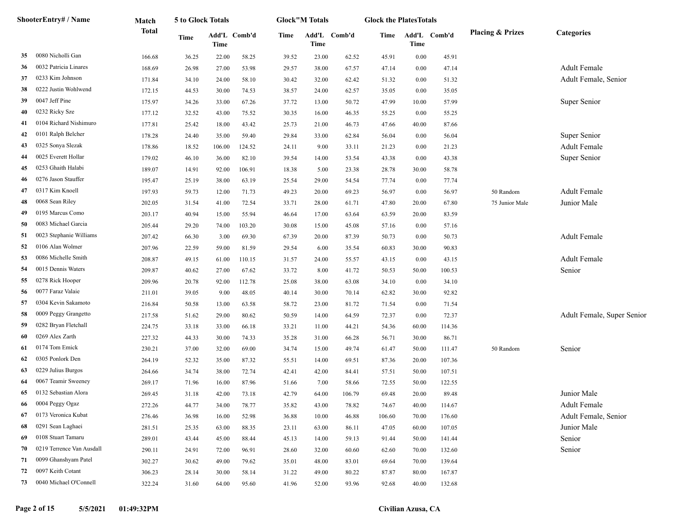| ShooterEntry# / Name |                           | Match        | 5 to Glock Totals |        |              | <b>Glock</b> "M Totals |               |        | <b>Glock the PlatesTotals</b> |             |              |                             |                            |
|----------------------|---------------------------|--------------|-------------------|--------|--------------|------------------------|---------------|--------|-------------------------------|-------------|--------------|-----------------------------|----------------------------|
|                      |                           | <b>Total</b> | <b>Time</b>       | Time   | Add'L Comb'd | Time                   | Add'L<br>Time | Comb'd | Time                          | <b>Time</b> | Add'L Comb'd | <b>Placing &amp; Prizes</b> | Categories                 |
| 35                   | 0080 Nicholli Gan         | 166.68       | 36.25             | 22.00  | 58.25        | 39.52                  | 23.00         | 62.52  | 45.91                         | 0.00        | 45.91        |                             |                            |
| 36                   | 0032 Patricia Linares     | 168.69       | 26.98             | 27.00  | 53.98        | 29.57                  | 38.00         | 67.57  | 47.14                         | 0.00        | 47.14        |                             | <b>Adult Female</b>        |
| 37                   | 0233 Kim Johnson          | 171.84       | 34.10             | 24.00  | 58.10        | 30.42                  | 32.00         | 62.42  | 51.32                         | 0.00        | 51.32        |                             | Adult Female, Senior       |
| 38                   | 0222 Justin Wohlwend      | 172.15       | 44.53             | 30.00  | 74.53        | 38.57                  | 24.00         | 62.57  | 35.05                         | 0.00        | 35.05        |                             |                            |
| 39                   | 0047 Jeff Pine            | 175.97       | 34.26             | 33.00  | 67.26        | 37.72                  | 13.00         | 50.72  | 47.99                         | 10.00       | 57.99        |                             | Super Senior               |
| 40                   | 0232 Ricky Sze            | 177.12       | 32.52             | 43.00  | 75.52        | 30.35                  | 16.00         | 46.35  | 55.25                         | 0.00        | 55.25        |                             |                            |
| 41                   | 0104 Richard Nishimuro    | 177.81       | 25.42             | 18.00  | 43.42        | 25.73                  | 21.00         | 46.73  | 47.66                         | 40.00       | 87.66        |                             |                            |
| 42                   | 0101 Ralph Belcher        | 178.28       | 24.40             | 35.00  | 59.40        | 29.84                  | 33.00         | 62.84  | 56.04                         | 0.00        | 56.04        |                             | Super Senior               |
| 43                   | 0325 Sonya Slezak         | 178.86       | 18.52             | 106.00 | 124.52       | 24.11                  | 9.00          | 33.11  | 21.23                         | 0.00        | 21.23        |                             | <b>Adult Female</b>        |
| 44                   | 0025 Everett Hollar       | 179.02       | 46.10             | 36.00  | 82.10        | 39.54                  | 14.00         | 53.54  | 43.38                         | 0.00        | 43.38        |                             | Super Senior               |
| 45                   | 0253 Ghaith Halabi        | 189.07       | 14.91             | 92.00  | 106.91       | 18.38                  | 5.00          | 23.38  | 28.78                         | 30.00       | 58.78        |                             |                            |
| 46                   | 0276 Jason Stauffer       | 195.47       | 25.19             | 38.00  | 63.19        | 25.54                  | 29.00         | 54.54  | 77.74                         | 0.00        | 77.74        |                             |                            |
| 47                   | 0317 Kim Knoell           | 197.93       | 59.73             | 12.00  | 71.73        | 49.23                  | 20.00         | 69.23  | 56.97                         | 0.00        | 56.97        | 50 Random                   | <b>Adult Female</b>        |
| 48                   | 0068 Sean Riley           | 202.05       | 31.54             | 41.00  | 72.54        | 33.71                  | 28.00         | 61.71  | 47.80                         | 20.00       | 67.80        | 75 Junior Male              | Junior Male                |
| 49                   | 0195 Marcus Como          | 203.17       | 40.94             | 15.00  | 55.94        | 46.64                  | 17.00         | 63.64  | 63.59                         | 20.00       | 83.59        |                             |                            |
| 50                   | 0083 Michael Garcia       | 205.44       | 29.20             | 74.00  | 103.20       | 30.08                  | 15.00         | 45.08  | 57.16                         | 0.00        | 57.16        |                             |                            |
| 51                   | 0023 Stephanie Williams   | 207.42       | 66.30             | 3.00   | 69.30        | 67.39                  | 20.00         | 87.39  | 50.73                         | 0.00        | 50.73        |                             | <b>Adult Female</b>        |
| 52                   | 0106 Alan Wolmer          | 207.96       | 22.59             | 59.00  | 81.59        | 29.54                  | 6.00          | 35.54  | 60.83                         | 30.00       | 90.83        |                             |                            |
| 53                   | 0086 Michelle Smith       | 208.87       | 49.15             | 61.00  | 110.15       | 31.57                  | 24.00         | 55.57  | 43.15                         | 0.00        | 43.15        |                             | <b>Adult Female</b>        |
| 54                   | 0015 Dennis Waters        | 209.87       | 40.62             | 27.00  | 67.62        | 33.72                  | 8.00          | 41.72  | 50.53                         | 50.00       | 100.53       |                             | Senior                     |
| 55                   | 0278 Rick Hooper          | 209.96       | 20.78             | 92.00  | 112.78       | 25.08                  | 38.00         | 63.08  | 34.10                         | 0.00        | 34.10        |                             |                            |
| 56                   | 0077 Faraz Valaie         | 211.01       | 39.05             | 9.00   | 48.05        | 40.14                  | 30.00         | 70.14  | 62.82                         | 30.00       | 92.82        |                             |                            |
| 57                   | 0304 Kevin Sakamoto       | 216.84       | 50.58             | 13.00  | 63.58        | 58.72                  | 23.00         | 81.72  | 71.54                         | 0.00        | 71.54        |                             |                            |
| 58                   | 0009 Peggy Grangetto      | 217.58       | 51.62             | 29.00  | 80.62        | 50.59                  | 14.00         | 64.59  | 72.37                         | 0.00        | 72.37        |                             | Adult Female, Super Senior |
| 59                   | 0282 Bryan Fletchall      | 224.75       | 33.18             | 33.00  | 66.18        | 33.21                  | 11.00         | 44.21  | 54.36                         | 60.00       | 114.36       |                             |                            |
| 60                   | 0269 Alex Zarth           | 227.32       | 44.33             | 30.00  | 74.33        | 35.28                  | 31.00         | 66.28  | 56.71                         | 30.00       | 86.71        |                             |                            |
| 61                   | 0174 Tom Emick            | 230.21       | 37.00             | 32.00  | 69.00        | 34.74                  | 15.00         | 49.74  | 61.47                         | 50.00       | 111.47       | 50 Random                   | Senior                     |
| 62                   | 0305 Ponlork Den          | 264.19       | 52.32             | 35.00  | 87.32        | 55.51                  | 14.00         | 69.51  | 87.36                         | 20.00       | 107.36       |                             |                            |
| 63                   | 0229 Julius Burgos        | 264.66       | 34.74             | 38.00  | 72.74        | 42.41                  | 42.00         | 84.41  | 57.51                         | 50.00       | 107.51       |                             |                            |
| 64                   | 0067 Teamir Sweeney       | 269.17       | 71.96             | 16.00  | 87.96        | 51.66                  | 7.00          | 58.66  | 72.55                         | 50.00       | 122.55       |                             |                            |
| 65                   | 0132 Sebastian Alora      | 269.45       | 31.18             | 42.00  | 73.18        | 42.79                  | 64.00         | 106.79 | 69.48                         | 20.00       | 89.48        |                             | Junior Male                |
| 66                   | 0004 Peggy Ogaz           | 272.26       | 44.77             | 34.00  | 78.77        | 35.82                  | 43.00         | 78.82  | 74.67                         | 40.00       | 114.67       |                             | Adult Female               |
| 67                   | 0173 Veronica Kubat       | 276.46       | 36.98             | 16.00  | 52.98        | 36.88                  | 10.00         | 46.88  | 106.60                        | 70.00       | 176.60       |                             | Adult Female, Senior       |
| 68                   | 0291 Sean Laghaei         | 281.51       | 25.35             | 63.00  | 88.35        | 23.11                  | 63.00         | 86.11  | 47.05                         | 60.00       | 107.05       |                             | Junior Male                |
| 69                   | 0108 Stuart Tamaru        | 289.01       | 43.44             | 45.00  | 88.44        | 45.13                  | 14.00         | 59.13  | 91.44                         | 50.00       | 141.44       |                             | Senior                     |
| 70                   | 0219 Terrence Van Ausdall | 290.11       | 24.91             | 72.00  | 96.91        | 28.60                  | 32.00         | 60.60  | 62.60                         | 70.00       | 132.60       |                             | Senior                     |
| 71                   | 0099 Ghanshyam Patel      | 302.27       | 30.62             | 49.00  | 79.62        | 35.01                  | 48.00         | 83.01  | 69.64                         | 70.00       | 139.64       |                             |                            |
| 72                   | 0097 Keith Cotant         | 306.23       | 28.14             | 30.00  | 58.14        | 31.22                  | 49.00         | 80.22  | 87.87                         | 80.00       | 167.87       |                             |                            |
| 73                   | 0040 Michael O'Connell    | 322.24       | 31.60             | 64.00  | 95.60        | 41.96                  | 52.00         | 93.96  | 92.68                         | 40.00       | 132.68       |                             |                            |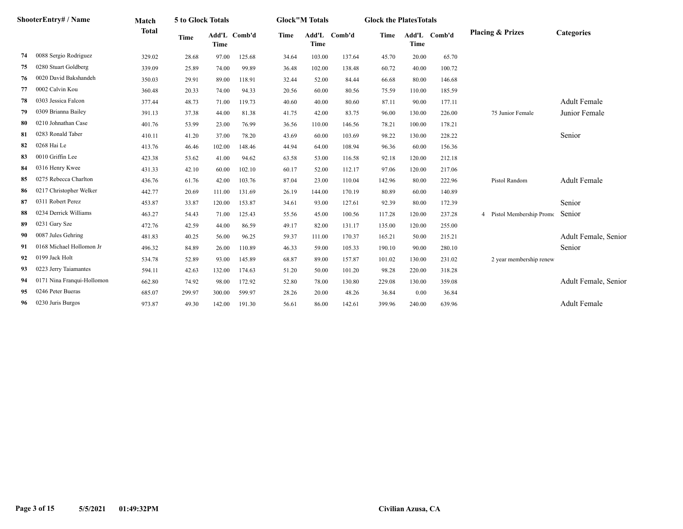| <b>ShooterEntry# / Name</b> |                                 | Match        |             | <b>5 to Glock Totals</b> |              | <b>Glock</b> "M Totals |                      | <b>Glock the Plates Totals</b> |             |        |              |                                           |                      |
|-----------------------------|---------------------------------|--------------|-------------|--------------------------|--------------|------------------------|----------------------|--------------------------------|-------------|--------|--------------|-------------------------------------------|----------------------|
|                             | 0088 Sergio Rodriguez<br>329.02 | <b>Total</b> | <b>Time</b> | <b>Time</b>              | Add'L Comb'd | Time                   | Add'L<br><b>Time</b> | Comb'd                         | <b>Time</b> | Time   | Add'L Comb'd | <b>Placing &amp; Prizes</b>               | <b>Categories</b>    |
| 74                          |                                 |              | 28.68       | 97.00                    | 125.68       | 34.64                  | 103.00               | 137.64                         | 45.70       | 20.00  | 65.70        |                                           |                      |
| 75                          | 0280 Stuart Goldberg            | 339.09       | 25.89       | 74.00                    | 99.89        | 36.48                  | 102.00               | 138.48                         | 60.72       | 40.00  | 100.72       |                                           |                      |
| 76                          | 0020 David Bakshandeh           | 350.03       | 29.91       | 89.00                    | 118.91       | 32.44                  | 52.00                | 84.44                          | 66.68       | 80.00  | 146.68       |                                           |                      |
| 77                          | 0002 Calvin Kou                 | 360.48       | 20.33       | 74.00                    | 94.33        | 20.56                  | 60.00                | 80.56                          | 75.59       | 110.00 | 185.59       |                                           |                      |
| 78                          | 0303 Jessica Falcon             | 377.44       | 48.73       | 71.00                    | 119.73       | 40.60                  | 40.00                | 80.60                          | 87.11       | 90.00  | 177.11       |                                           | <b>Adult Female</b>  |
| 79                          | 0309 Brianna Bailey             | 391.13       | 37.38       | 44.00                    | 81.38        | 41.75                  | 42.00                | 83.75                          | 96.00       | 130.00 | 226.00       | 75 Junior Female                          | Junior Female        |
| 80                          | 0210 Johnathan Case             | 401.76       | 53.99       | 23.00                    | 76.99        | 36.56                  | 110.00               | 146.56                         | 78.21       | 100.00 | 178.21       |                                           |                      |
| 81                          | 0283 Ronald Taber               | 410.11       | 41.20       | 37.00                    | 78.20        | 43.69                  | 60.00                | 103.69                         | 98.22       | 130.00 | 228.22       |                                           | Senior               |
| 82                          | 0268 Hai Le                     | 413.76       | 46.46       | 102.00                   | 148.46       | 44.94                  | 64.00                | 108.94                         | 96.36       | 60.00  | 156.36       |                                           |                      |
| 83                          | 0010 Griffin Lee                | 423.38       | 53.62       | 41.00                    | 94.62        | 63.58                  | 53.00                | 116.58                         | 92.18       | 120.00 | 212.18       |                                           |                      |
| 84                          | 0316 Henry Kwee                 | 431.33       | 42.10       | 60.00                    | 102.10       | 60.17                  | 52.00                | 112.17                         | 97.06       | 120.00 | 217.06       |                                           |                      |
| 85                          | 0275 Rebecca Charlton           | 436.76       | 61.76       | 42.00                    | 103.76       | 87.04                  | 23.00                | 110.04                         | 142.96      | 80.00  | 222.96       | Pistol Random                             | <b>Adult Female</b>  |
| 86                          | 0217 Christopher Welker         | 442.77       | 20.69       | 111.00                   | 131.69       | 26.19                  | 144.00               | 170.19                         | 80.89       | 60.00  | 140.89       |                                           |                      |
| 87                          | 0311 Robert Perez               | 453.87       | 33.87       | 120.00                   | 153.87       | 34.61                  | 93.00                | 127.61                         | 92.39       | 80.00  | 172.39       |                                           | Senior               |
| 88                          | 0234 Derrick Williams           | 463.27       | 54.43       | 71.00                    | 125.43       | 55.56                  | 45.00                | 100.56                         | 117.28      | 120.00 | 237.28       | Pistol Membership Promo<br>$\overline{4}$ | Senior               |
| 89                          | 0231 Gary Sze                   | 472.76       | 42.59       | 44.00                    | 86.59        | 49.17                  | 82.00                | 131.17                         | 135.00      | 120.00 | 255.00       |                                           |                      |
| 90                          | 0087 Jules Gehring              | 481.83       | 40.25       | 56.00                    | 96.25        | 59.37                  | 111.00               | 170.37                         | 165.21      | 50.00  | 215.21       |                                           | Adult Female, Senior |
| 91                          | 0168 Michael Hollomon Jr        | 496.32       | 84.89       | 26.00                    | 110.89       | 46.33                  | 59.00                | 105.33                         | 190.10      | 90.00  | 280.10       |                                           | Senior               |
| 92                          | 0199 Jack Holt                  | 534.78       | 52.89       | 93.00                    | 145.89       | 68.87                  | 89.00                | 157.87                         | 101.02      | 130.00 | 231.02       | 2 year membership renew                   |                      |
| 93                          | 0223 Jerry Taiamantes           | 594.11       | 42.63       | 132.00                   | 174.63       | 51.20                  | 50.00                | 101.20                         | 98.28       | 220.00 | 318.28       |                                           |                      |
| 94                          | 0171 Nina Franqui-Hollomon      | 662.80       | 74.92       | 98.00                    | 172.92       | 52.80                  | 78.00                | 130.80                         | 229.08      | 130.00 | 359.08       |                                           | Adult Female, Senior |
| 95                          | 0246 Peter Bueras               | 685.07       | 299.97      | 300.00                   | 599.97       | 28.26                  | 20.00                | 48.26                          | 36.84       | 0.00   | 36.84        |                                           |                      |
| 96                          | 0230 Juris Burgos               | 973.87       | 49.30       | 142.00                   | 191.30       | 56.61                  | 86.00                | 142.61                         | 399.96      | 240.00 | 639.96       |                                           | <b>Adult Female</b>  |
|                             |                                 |              |             |                          |              |                        |                      |                                |             |        |              |                                           |                      |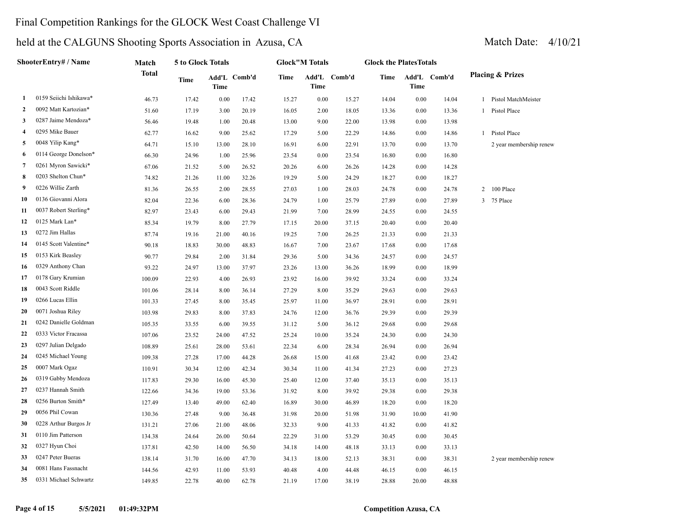### Final Competition Rankings for the GLOCK West Coast Challenge VI

|                | ShooterEntry# / Name   | Match        | 5 to Glock Totals |             |              |       | <b>Glock"M Totals</b> |              | <b>Glock the PlatesTotals</b> |       |              |                             |
|----------------|------------------------|--------------|-------------------|-------------|--------------|-------|-----------------------|--------------|-------------------------------|-------|--------------|-----------------------------|
|                |                        | <b>Total</b> | Time              | <b>Time</b> | Add'L Comb'd | Time  | <b>Time</b>           | Add'L Comb'd | Time                          | Time  | Add'L Comb'd | <b>Placing &amp; Prizes</b> |
| 1              | 0159 Seiichi Ishikawa* | 46.73        | 17.42             | 0.00        | 17.42        | 15.27 | $0.00\,$              | 15.27        | 14.04                         | 0.00  | 14.04        | 1 Pistol MatchMeister       |
| $\mathbf{2}$   | 0092 Matt Kartozian*   | 51.60        | 17.19             | 3.00        | 20.19        | 16.05 | 2.00                  | 18.05        | 13.36                         | 0.00  | 13.36        | 1 Pistol Place              |
| 3              | 0287 Jaime Mendoza*    | 56.46        | 19.48             | 1.00        | 20.48        | 13.00 | 9.00                  | 22.00        | 13.98                         | 0.00  | 13.98        |                             |
| $\overline{4}$ | 0295 Mike Bauer        | 62.77        | 16.62             | 9.00        | 25.62        | 17.29 | 5.00                  | 22.29        | 14.86                         | 0.00  | 14.86        | 1 Pistol Place              |
| 5              | 0048 Yilip Kang*       | 64.71        | 15.10             | 13.00       | 28.10        | 16.91 | 6.00                  | 22.91        | 13.70                         | 0.00  | 13.70        | 2 year membership renew     |
| 6              | 0114 George Donelson*  | 66.30        | 24.96             | 1.00        | 25.96        | 23.54 | 0.00                  | 23.54        | 16.80                         | 0.00  | 16.80        |                             |
| 7              | 0261 Myron Sawicki*    | 67.06        | 21.52             | 5.00        | 26.52        | 20.26 | 6.00                  | 26.26        | 14.28                         | 0.00  | 14.28        |                             |
| 8              | 0203 Shelton Chun*     | 74.82        | 21.26             | 11.00       | 32.26        | 19.29 | 5.00                  | 24.29        | 18.27                         | 0.00  | 18.27        |                             |
| 9              | 0226 Willie Zarth      | 81.36        | 26.55             | 2.00        | 28.55        | 27.03 | 1.00                  | 28.03        | 24.78                         | 0.00  | 24.78        | 100 Place<br>$\overline{2}$ |
| 10             | 0136 Giovanni Alora    | 82.04        | 22.36             | 6.00        | 28.36        | 24.79 | 1.00                  | 25.79        | 27.89                         | 0.00  | 27.89        | 75 Place<br>3               |
| 11             | 0037 Robert Sterling*  | 82.97        | 23.43             | 6.00        | 29.43        | 21.99 | 7.00                  | 28.99        | 24.55                         | 0.00  | 24.55        |                             |
| 12             | 0125 Mark Lan*         | 85.34        | 19.79             | 8.00        | 27.79        | 17.15 | 20.00                 | 37.15        | 20.40                         | 0.00  | 20.40        |                             |
| 13             | 0272 Jim Hallas        | 87.74        | 19.16             | 21.00       | 40.16        | 19.25 | 7.00                  | 26.25        | 21.33                         | 0.00  | 21.33        |                             |
| 14             | 0145 Scott Valentine*  | 90.18        | 18.83             | 30.00       | 48.83        | 16.67 | 7.00                  | 23.67        | 17.68                         | 0.00  | 17.68        |                             |
| 15             | 0153 Kirk Beasley      | 90.77        | 29.84             | 2.00        | 31.84        | 29.36 | 5.00                  | 34.36        | 24.57                         | 0.00  | 24.57        |                             |
| 16             | 0329 Anthony Chan      | 93.22        | 24.97             | 13.00       | 37.97        | 23.26 | 13.00                 | 36.26        | 18.99                         | 0.00  | 18.99        |                             |
| 17             | 0178 Gary Krumian      | 100.09       | 22.93             | 4.00        | 26.93        | 23.92 | 16.00                 | 39.92        | 33.24                         | 0.00  | 33.24        |                             |
| 18             | 0043 Scott Riddle      | 101.06       | 28.14             | 8.00        | 36.14        | 27.29 | 8.00                  | 35.29        | 29.63                         | 0.00  | 29.63        |                             |
| 19             | 0266 Lucas Ellin       | 101.33       | 27.45             | 8.00        | 35.45        | 25.97 | 11.00                 | 36.97        | 28.91                         | 0.00  | 28.91        |                             |
| 20             | 0071 Joshua Riley      | 103.98       | 29.83             | 8.00        | 37.83        | 24.76 | 12.00                 | 36.76        | 29.39                         | 0.00  | 29.39        |                             |
| 21             | 0242 Danielle Goldman  | 105.35       | 33.55             | 6.00        | 39.55        | 31.12 | 5.00                  | 36.12        | 29.68                         | 0.00  | 29.68        |                             |
| 22             | 0333 Victor Fracassa   | 107.06       | 23.52             | 24.00       | 47.52        | 25.24 | 10.00                 | 35.24        | 24.30                         | 0.00  | 24.30        |                             |
| 23             | 0297 Julian Delgado    | 108.89       | 25.61             | 28.00       | 53.61        | 22.34 | 6.00                  | 28.34        | 26.94                         | 0.00  | 26.94        |                             |
| 24             | 0245 Michael Young     | 109.38       | 27.28             | 17.00       | 44.28        | 26.68 | 15.00                 | 41.68        | 23.42                         | 0.00  | 23.42        |                             |
| 25             | 0007 Mark Ogaz         | 110.91       | 30.34             | 12.00       | 42.34        | 30.34 | 11.00                 | 41.34        | 27.23                         | 0.00  | 27.23        |                             |
| 26             | 0319 Gabby Mendoza     | 117.83       | 29.30             | 16.00       | 45.30        | 25.40 | 12.00                 | 37.40        | 35.13                         | 0.00  | 35.13        |                             |
| 27             | 0237 Hannah Smith      | 122.66       | 34.36             | 19.00       | 53.36        | 31.92 | 8.00                  | 39.92        | 29.38                         | 0.00  | 29.38        |                             |
| 28             | 0256 Burton Smith*     | 127.49       | 13.40             | 49.00       | 62.40        | 16.89 | 30.00                 | 46.89        | 18.20                         | 0.00  | 18.20        |                             |
| 29             | 0056 Phil Cowan        | 130.36       | 27.48             | 9.00        | 36.48        | 31.98 | 20.00                 | 51.98        | 31.90                         | 10.00 | 41.90        |                             |
| 30             | 0228 Arthur Burgos Jr  | 131.21       | 27.06             | 21.00       | 48.06        | 32.33 | 9.00                  | 41.33        | 41.82                         | 0.00  | 41.82        |                             |
| 31             | 0110 Jim Patterson     | 134.38       | 24.64             | 26.00       | 50.64        | 22.29 | 31.00                 | 53.29        | 30.45                         | 0.00  | 30.45        |                             |
| 32             | 0327 Hyun Choi         | 137.81       | 42.50             | 14.00       | 56.50        | 34.18 | 14.00                 | 48.18        | 33.13                         | 0.00  | 33.13        |                             |
| 33             | 0247 Peter Bueras      | 138.14       | 31.70             | 16.00       | 47.70        | 34.13 | 18.00                 | 52.13        | 38.31                         | 0.00  | 38.31        | 2 year membership renew     |
| 34             | 0081 Hans Fassnacht    | 144.56       | 42.93             | 11.00       | 53.93        | 40.48 | 4.00                  | 44.48        | 46.15                         | 0.00  | 46.15        |                             |
| 35             | 0331 Michael Schwartz  | 149.85       | 22.78             | 40.00       | 62.78        | 21.19 | 17.00                 | 38.19        | 28.88                         | 20.00 | 48.88        |                             |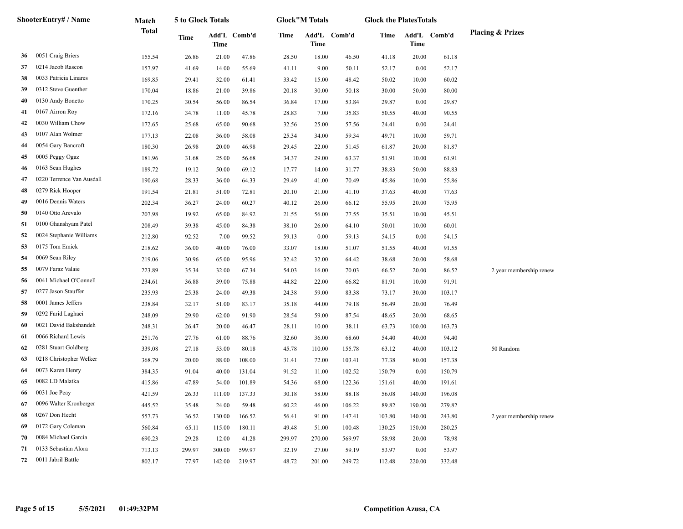|    | <b>ShooterEntry# / Name</b> | Match  | 5 to Glock Totals |        |              |        | <b>Glock"M Totals</b> |              | <b>Glock the PlatesTotals</b> |        |              |                             |
|----|-----------------------------|--------|-------------------|--------|--------------|--------|-----------------------|--------------|-------------------------------|--------|--------------|-----------------------------|
|    |                             | Total  | Time              | Time   | Add'L Comb'd | Time   | <b>Time</b>           | Add'L Comb'd | Time                          | Time   | Add'L Comb'd | <b>Placing &amp; Prizes</b> |
| 36 | 0051 Craig Briers           | 155.54 | 26.86             | 21.00  | 47.86        | 28.50  | 18.00                 | 46.50        | 41.18                         | 20.00  | 61.18        |                             |
| 37 | 0214 Jacob Rascon           | 157.97 | 41.69             | 14.00  | 55.69        | 41.11  | 9.00                  | 50.11        | 52.17                         | 0.00   | 52.17        |                             |
| 38 | 0033 Patricia Linares       | 169.85 | 29.41             | 32.00  | 61.41        | 33.42  | 15.00                 | 48.42        | 50.02                         | 10.00  | 60.02        |                             |
| 39 | 0312 Steve Guenther         | 170.04 | 18.86             | 21.00  | 39.86        | 20.18  | 30.00                 | 50.18        | 30.00                         | 50.00  | 80.00        |                             |
| 40 | 0130 Andy Bonetto           | 170.25 | 30.54             | 56.00  | 86.54        | 36.84  | 17.00                 | 53.84        | 29.87                         | 0.00   | 29.87        |                             |
| 41 | 0167 Airron Roy             | 172.16 | 34.78             | 11.00  | 45.78        | 28.83  | 7.00                  | 35.83        | 50.55                         | 40.00  | 90.55        |                             |
| 42 | 0030 William Chow           | 172.65 | 25.68             | 65.00  | 90.68        | 32.56  | 25.00                 | 57.56        | 24.41                         | 0.00   | 24.41        |                             |
| 43 | 0107 Alan Wolmer            | 177.13 | 22.08             | 36.00  | 58.08        | 25.34  | 34.00                 | 59.34        | 49.71                         | 10.00  | 59.71        |                             |
| 44 | 0054 Gary Bancroft          | 180.30 | 26.98             | 20.00  | 46.98        | 29.45  | 22.00                 | 51.45        | 61.87                         | 20.00  | 81.87        |                             |
| 45 | 0005 Peggy Ogaz             | 181.96 | 31.68             | 25.00  | 56.68        | 34.37  | 29.00                 | 63.37        | 51.91                         | 10.00  | 61.91        |                             |
| 46 | 0163 Sean Hughes            | 189.72 | 19.12             | 50.00  | 69.12        | 17.77  | 14.00                 | 31.77        | 38.83                         | 50.00  | 88.83        |                             |
| 47 | 0220 Terrence Van Ausdall   | 190.68 | 28.33             | 36.00  | 64.33        | 29.49  | 41.00                 | 70.49        | 45.86                         | 10.00  | 55.86        |                             |
| 48 | 0279 Rick Hooper            | 191.54 | 21.81             | 51.00  | 72.81        | 20.10  | 21.00                 | 41.10        | 37.63                         | 40.00  | 77.63        |                             |
| 49 | 0016 Dennis Waters          | 202.34 | 36.27             | 24.00  | 60.27        | 40.12  | 26.00                 | 66.12        | 55.95                         | 20.00  | 75.95        |                             |
| 50 | 0140 Otto Arevalo           | 207.98 | 19.92             | 65.00  | 84.92        | 21.55  | 56.00                 | 77.55        | 35.51                         | 10.00  | 45.51        |                             |
| 51 | 0100 Ghanshyam Patel        | 208.49 | 39.38             | 45.00  | 84.38        | 38.10  | 26.00                 | 64.10        | 50.01                         | 10.00  | 60.01        |                             |
| 52 | 0024 Stephanie Williams     | 212.80 | 92.52             | 7.00   | 99.52        | 59.13  | 0.00                  | 59.13        | 54.15                         | 0.00   | 54.15        |                             |
| 53 | 0175 Tom Emick              | 218.62 | 36.00             | 40.00  | 76.00        | 33.07  | 18.00                 | 51.07        | 51.55                         | 40.00  | 91.55        |                             |
| 54 | 0069 Sean Riley             | 219.06 | 30.96             | 65.00  | 95.96        | 32.42  | 32.00                 | 64.42        | 38.68                         | 20.00  | 58.68        |                             |
| 55 | 0079 Faraz Valaie           | 223.89 | 35.34             | 32.00  | 67.34        | 54.03  | 16.00                 | 70.03        | 66.52                         | 20.00  | 86.52        | 2 year membership renew     |
| 56 | 0041 Michael O'Connell      | 234.61 | 36.88             | 39.00  | 75.88        | 44.82  | 22.00                 | 66.82        | 81.91                         | 10.00  | 91.91        |                             |
| 57 | 0277 Jason Stauffer         | 235.93 | 25.38             | 24.00  | 49.38        | 24.38  | 59.00                 | 83.38        | 73.17                         | 30.00  | 103.17       |                             |
| 58 | 0001 James Jeffers          | 238.84 | 32.17             | 51.00  | 83.17        | 35.18  | 44.00                 | 79.18        | 56.49                         | 20.00  | 76.49        |                             |
| 59 | 0292 Farid Laghaei          | 248.09 | 29.90             | 62.00  | 91.90        | 28.54  | 59.00                 | 87.54        | 48.65                         | 20.00  | 68.65        |                             |
| 60 | 0021 David Bakshandeh       | 248.31 | 26.47             | 20.00  | 46.47        | 28.11  | 10.00                 | 38.11        | 63.73                         | 100.00 | 163.73       |                             |
| 61 | 0066 Richard Lewis          | 251.76 | 27.76             | 61.00  | 88.76        | 32.60  | 36.00                 | 68.60        | 54.40                         | 40.00  | 94.40        |                             |
| 62 | 0281 Stuart Goldberg        | 339.08 | 27.18             | 53.00  | 80.18        | 45.78  | 110.00                | 155.78       | 63.12                         | 40.00  | 103.12       | 50 Random                   |
| 63 | 0218 Christopher Welker     | 368.79 | 20.00             | 88.00  | 108.00       | 31.41  | 72.00                 | 103.41       | 77.38                         | 80.00  | 157.38       |                             |
| 64 | 0073 Karen Henry            | 384.35 | 91.04             | 40.00  | 131.04       | 91.52  | 11.00                 | 102.52       | 150.79                        | 0.00   | 150.79       |                             |
| 65 | 0082 LD Malatka             | 415.86 | 47.89             | 54.00  | 101.89       | 54.36  | 68.00                 | 122.36       | 151.61                        | 40.00  | 191.61       |                             |
| 66 | 0031 Joe Peay               | 421.59 | 26.33             | 111.00 | 137.33       | 30.18  | 58.00                 | 88.18        | 56.08                         | 140.00 | 196.08       |                             |
| 67 | 0096 Walter Kronberger      | 445.52 | 35.48             | 24.00  | 59.48        | 60.22  | 46.00                 | 106.22       | 89.82                         | 190.00 | 279.82       |                             |
| 68 | 0267 Don Hecht              | 557.73 | 36.52             | 130.00 | 166.52       | 56.41  | 91.00                 | 147.41       | 103.80                        | 140.00 | 243.80       | 2 year membership renew     |
| 69 | 0172 Gary Coleman           | 560.84 | 65.11             | 115.00 | 180.11       | 49.48  | 51.00                 | 100.48       | 130.25                        | 150.00 | 280.25       |                             |
| 70 | 0084 Michael Garcia         | 690.23 | 29.28             | 12.00  | 41.28        | 299.97 | 270.00                | 569.97       | 58.98                         | 20.00  | 78.98        |                             |
| 71 | 0133 Sebastian Alora        | 713.13 | 299.97            | 300.00 | 599.97       | 32.19  | 27.00                 | 59.19        | 53.97                         | 0.00   | 53.97        |                             |
| 72 | 0011 Jabril Battle          | 802.17 | 77.97             | 142.00 | 219.97       | 48.72  | 201.00                | 249.72       | 112.48                        | 220.00 | 332.48       |                             |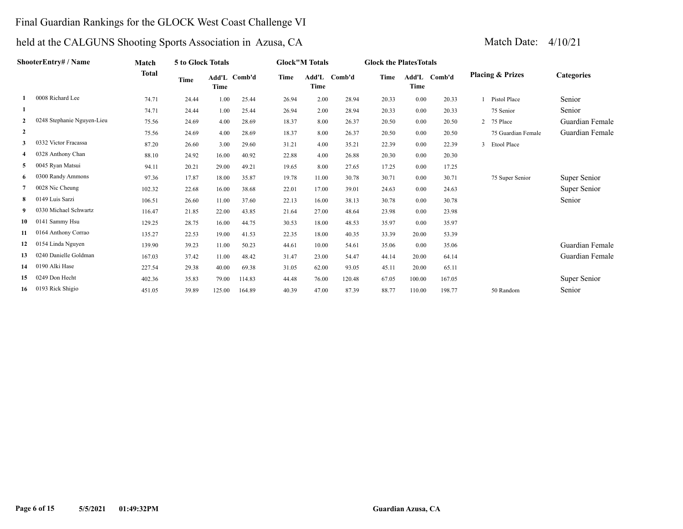#### Final Guardian Rankings for the GLOCK West Coast Challenge VI

## held at the CALGUNS Shooting Sports Association in Azusa, CA Match Date: 4/10/21

| <b>ShooterEntry#/Name</b> |                            | Match        | 5 to Glock Totals |                      |       |       | <b>Glock"M Totals</b> |        | <b>Glock the Plates Totals</b> |       |              |   |                             |                   |
|---------------------------|----------------------------|--------------|-------------------|----------------------|-------|-------|-----------------------|--------|--------------------------------|-------|--------------|---|-----------------------------|-------------------|
|                           |                            | <b>Total</b> | Time              | Add'L Comb'd<br>Time |       | Time  | Add'L<br>Time         | Comb'd | Time                           | Time  | Add'L Comb'd |   | <b>Placing &amp; Prizes</b> | <b>Categories</b> |
|                           | 0008 Richard Lee           | 74.71        | 24.44             | 1.00                 | 25.44 | 26.94 | 2.00                  | 28.94  | 20.33                          | 0.00  | 20.33        |   | Pistol Place                | Senior            |
|                           |                            | 74.71        | 24.44             | 1.00                 | 25.44 | 26.94 | 2.00                  | 28.94  | 20.33                          | 0.00  | 20.33        |   | 75 Senior                   | Senior            |
|                           | 0248 Stephanie Nguyen-Lieu | 75.56        | 24.69             | 4.00                 | 28.69 | 18.37 | 8.00                  | 26.37  | 20.50                          | 0.00  | 20.50        |   | 2 75 Place                  | Guardian Female   |
| 2                         |                            | 75.56        | 24.69             | 4.00                 | 28.69 | 18.37 | 8.00                  | 26.37  | 20.50                          | 0.00  | 20.50        |   | 75 Guardian Female          | Guardian Female   |
| 3                         | 0332 Victor Fracassa       | 87.20        | 26.60             | 3.00                 | 29.60 | 31.21 | 4.00                  | 35.21  | 22.39                          | 0.00  | 22.39        | 3 | <b>Etool Place</b>          |                   |
|                           | 0328 Anthony Chan          | 88.10        | 24.92             | 16.00                | 40.92 | 22.88 | 4.00                  | 26.88  | 20.30                          | 0.00  | 20.30        |   |                             |                   |
| 5                         | 0045 Ryan Matsui           | 94.11        | 20.21             | 29.00                | 49.21 | 19.65 | 8.00                  | 27.65  | 17.25                          | 0.00  | 17.25        |   |                             |                   |
| 6                         | 0300 Randy Ammons          | 97.36        | 17.87             | 18.00                | 35.87 | 19.78 | 11.00                 | 30.78  | 30.71                          | 0.00  | 30.71        |   | 75 Super Senior             | Super Senior      |
|                           | 0028 Nic Cheung            | 102.32       | 22.68             | 16.00                | 38.68 | 22.01 | 17.00                 | 39.01  | 24.63                          | 0.00  | 24.63        |   |                             | Super Senior      |
| 8                         | 0149 Luis Sarzi            | 106.51       | 26.60             | 11.00                | 37.60 | 22.13 | 16.00                 | 38.13  | 30.78                          | 0.00  | 30.78        |   |                             | Senior            |
| 9.                        | 0330 Michael Schwartz      | 116.47       | 21.85             | 22.00                | 43.85 | 21.64 | 27.00                 | 48.64  | 23.98                          | 0.00  | 23.98        |   |                             |                   |
| 10                        | 0141 Sammy Hsu             | 129.25       | 28.75             | 16.00                | 44.75 | 30.53 | 18.00                 | 48.53  | 35.97                          | 0.00  | 35.97        |   |                             |                   |
| 11                        | 0164 Anthony Corrao        | 135.27       | 22.53             | 19.00                | 41.53 | 22.35 | 18.00                 | 40.35  | 33.39                          | 20.00 | 53.39        |   |                             |                   |
| 12                        | 0154 Linda Nguyen          | 139.90       | 39.23             | 11.00                | 50.23 | 44.61 | 10.00                 | 54.61  | 35.06                          | 0.00  | 35.06        |   |                             | Guardian Female   |
| 13                        | 0240 Danielle Goldman      | 167.03       | 37.42             | 11.00                | 48.42 | 31.47 | 23.00                 | 54.47  | 44.14                          | 20.00 | 64.14        |   |                             | Guardian Female   |
| 14                        | 0190 Alki Hase             | 227.54       | 29.38             | 40.00                | 69.38 | 31.05 | 62.00                 | 93.05  | 45.11                          | 20.00 | 65.11        |   |                             |                   |

 **15** 0249 Don Hecht 402.36 35.83 79.00 114.83 44.48 76.00 120.48 67.05 100.00 167.05 Super Senior  **16** 0193 Rick Shigio 451.05 39.89 125.00 164.89 40.39 47.00 87.39 88.77 110.00 198.77 50 Random Senior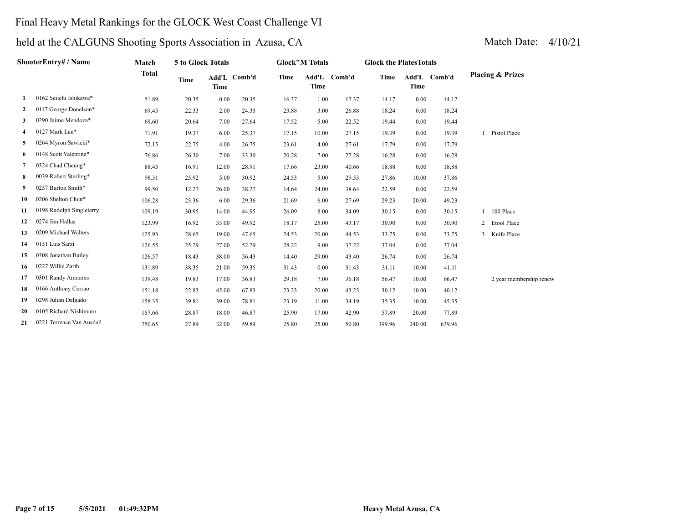### Final Heavy Metal Rankings for the GLOCK West Coast Challenge VI

|              | ShooterEntry# / Name      | Match        | 5 to Glock Totals |             |              |       | <b>Glock"M Totals</b> |              | <b>Glock the PlatesTotals</b> |             |              |                             |
|--------------|---------------------------|--------------|-------------------|-------------|--------------|-------|-----------------------|--------------|-------------------------------|-------------|--------------|-----------------------------|
|              |                           | <b>Total</b> | <b>Time</b>       | <b>Time</b> | Add'L Comb'd | Time  | <b>Time</b>           | Add'L Comb'd | Time                          | <b>Time</b> | Add'L Comb'd | <b>Placing &amp; Prizes</b> |
| -1           | 0162 Seiichi Ishikawa*    | 51.89        | 20.35             | 0.00        | 20.35        | 16.37 | 1.00                  | 17.37        | 14.17                         | 0.00        | 14.17        |                             |
| $\mathbf{2}$ | 0117 George Donelson*     | 69.45        | 22.33             | 2.00        | 24.33        | 23.88 | 3.00                  | 26.88        | 18.24                         | 0.00        | 18.24        |                             |
| 3            | 0290 Jaime Mendoza*       | 69.60        | 20.64             | 7.00        | 27.64        | 17.52 | 5.00                  | 22.52        | 19.44                         | 0.00        | 19.44        |                             |
| 4            | 0127 Mark Lan*            | 71.91        | 19.37             | 6.00        | 25.37        | 17.15 | 10.00                 | 27.15        | 19.39                         | 0.00        | 19.39        | Pistol Place                |
| 5            | 0264 Myron Sawicki*       | 72.15        | 22.75             | 4.00        | 26.75        | 23.61 | 4.00                  | 27.61        | 17.79                         | 0.00        | 17.79        |                             |
| 6            | 0148 Scott Valentine*     | 76.86        | 26.30             | 7.00        | 33.30        | 20.28 | 7.00                  | 27.28        | 16.28                         | 0.00        | 16.28        |                             |
| 7            | 0324 Chad Cheung*         | 88.45        | 16.91             | 12.00       | 28.91        | 17.66 | 23.00                 | 40.66        | 18.88                         | 0.00        | 18.88        |                             |
| 8            | 0039 Robert Sterling*     | 98.31        | 25.92             | 5.00        | 30.92        | 24.53 | 5.00                  | 29.53        | 27.86                         | 10.00       | 37.86        |                             |
| 9            | 0257 Burton Smith*        | 99.50        | 12.27             | 26.00       | 38.27        | 14.64 | 24.00                 | 38.64        | 22.59                         | 0.00        | 22.59        |                             |
| 10           | 0206 Shelton Chun*        | 106.28       | 23.36             | 6.00        | 29.36        | 21.69 | 6.00                  | 27.69        | 29.23                         | 20.00       | 49.23        |                             |
| 11           | 0198 Rudolph Singleterry  | 109.19       | 30.95             | 14.00       | 44.95        | 26.09 | 8.00                  | 34.09        | 30.15                         | 0.00        | 30.15        | 100 Place                   |
| 12           | 0274 Jim Hallas           | 123.99       | 16.92             | 33.00       | 49.92        | 18.17 | 25.00                 | 43.17        | 30.90                         | 0.00        | 30.90        | 2 Etool Place               |
| 13           | 0209 Michael Walters      | 125.93       | 28.65             | 19.00       | 47.65        | 24.53 | 20.00                 | 44.53        | 33.75                         | 0.00        | 33.75        | 3 Knife Place               |
| 14           | 0151 Luis Sarzi           | 126.55       | 25.29             | 27.00       | 52.29        | 28.22 | 9.00                  | 37.22        | 37.04                         | 0.00        | 37.04        |                             |
| 15           | 0308 Jonathan Bailey      | 126.57       | 18.43             | 38.00       | 56.43        | 14.40 | 29.00                 | 43.40        | 26.74                         | 0.00        | 26.74        |                             |
| 16           | 0227 Willie Zarth         | 131.89       | 38.35             | 21.00       | 59.35        | 31.43 | 0.00                  | 31.43        | 31.11                         | 10.00       | 41.11        |                             |
| 17           | 0301 Randy Ammons         | 139.48       | 19.83             | 17.00       | 36.83        | 29.18 | 7.00                  | 36.18        | 56.47                         | 10.00       | 66.47        | 2 year membership renew     |
| 18           | 0166 Anthony Corrao       | 151.18       | 22.83             | 45.00       | 67.83        | 23.23 | 20.00                 | 43.23        | 30.12                         | 10.00       | 40.12        |                             |
| 19           | 0298 Julian Delgado       | 158.35       | 39.81             | 39.00       | 78.81        | 23.19 | 11.00                 | 34.19        | 35.35                         | 10.00       | 45.35        |                             |
| 20           | 0105 Richard Nishimuro    | 167.66       | 28.87             | 18.00       | 46.87        | 25.90 | 17.00                 | 42.90        | 57.89                         | 20.00       | 77.89        |                             |
| 21           | 0221 Terrence Van Ausdall | 750.65       | 27.89             | 32.00       | 59.89        | 25.80 | 25.00                 | 50.80        | 399.96                        | 240.00      | 639.96       |                             |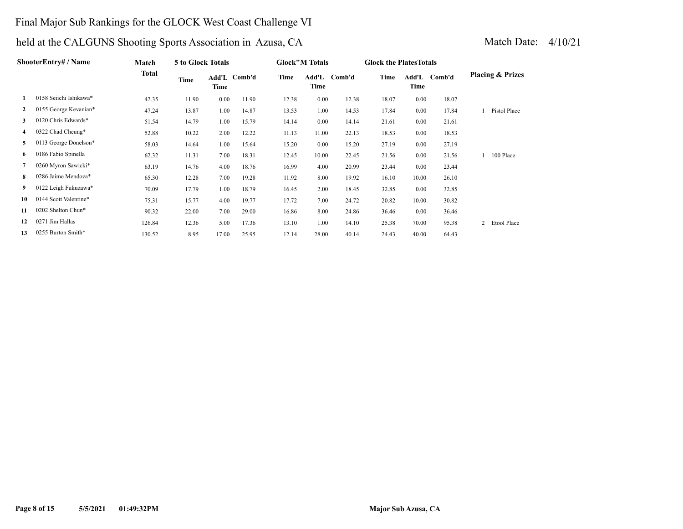### Final Major Sub Rankings for the GLOCK West Coast Challenge VI

| ShooterEntrv# / Name |                        | Match  | 5 to Glock Totals |       |              | <b>Glock"M Totals</b> |               |        |       | <b>Glock the Plates Totals</b> |        |                             |
|----------------------|------------------------|--------|-------------------|-------|--------------|-----------------------|---------------|--------|-------|--------------------------------|--------|-----------------------------|
|                      |                        | Total  | Time              | Time  | Add'L Comb'd | Time                  | Add'L<br>Time | Comb'd | Time  | Add'L<br>Time                  | Comb'd | <b>Placing &amp; Prizes</b> |
|                      | 0158 Seiichi Ishikawa* | 42.35  | 11.90             | 0.00  | 11.90        | 12.38                 | 0.00          | 12.38  | 18.07 | 0.00                           | 18.07  |                             |
| $\mathbf{2}$         | 0155 George Kevanian*  | 47.24  | 13.87             | 1.00  | 14.87        | 13.53                 | 1.00          | 14.53  | 17.84 | 0.00                           | 17.84  | Pistol Place                |
| 3                    | 0120 Chris Edwards*    | 51.54  | 14.79             | 1.00  | 15.79        | 14.14                 | 0.00          | 14.14  | 21.61 | 0.00                           | 21.61  |                             |
| 4                    | 0322 Chad Cheung*      | 52.88  | 10.22             | 2.00  | 12.22        | 11.13                 | 11.00         | 22.13  | 18.53 | 0.00                           | 18.53  |                             |
| 5                    | 0113 George Donelson*  | 58.03  | 14.64             | 1.00  | 15.64        | 15.20                 | 0.00          | 15.20  | 27.19 | 0.00                           | 27.19  |                             |
| 6                    | 0186 Fabio Spinella    | 62.32  | 11.31             | 7.00  | 18.31        | 12.45                 | 10.00         | 22.45  | 21.56 | 0.00                           | 21.56  | 100 Place                   |
| 7                    | 0260 Myron Sawicki*    | 63.19  | 14.76             | 4.00  | 18.76        | 16.99                 | 4.00          | 20.99  | 23.44 | 0.00                           | 23.44  |                             |
| 8                    | 0286 Jaime Mendoza*    | 65.30  | 12.28             | 7.00  | 19.28        | 11.92                 | 8.00          | 19.92  | 16.10 | 10.00                          | 26.10  |                             |
| 9.                   | 0122 Leigh Fukuzawa*   | 70.09  | 17.79             | 1.00  | 18.79        | 16.45                 | 2.00          | 18.45  | 32.85 | 0.00                           | 32.85  |                             |
| 10                   | 0144 Scott Valentine*  | 75.31  | 15.77             | 4.00  | 19.77        | 17.72                 | 7.00          | 24.72  | 20.82 | 10.00                          | 30.82  |                             |
| 11                   | 0202 Shelton Chun*     | 90.32  | 22.00             | 7.00  | 29.00        | 16.86                 | 8.00          | 24.86  | 36.46 | 0.00                           | 36.46  |                             |
| 12                   | 0271 Jim Hallas        | 126.84 | 12.36             | 5.00  | 17.36        | 13.10                 | 1.00          | 14.10  | 25.38 | 70.00                          | 95.38  | Etool Place<br>2            |
| 13                   | 0255 Burton Smith*     | 130.52 | 8.95              | 17.00 | 25.95        | 12.14                 | 28.00         | 40.14  | 24.43 | 40.00                          | 64.43  |                             |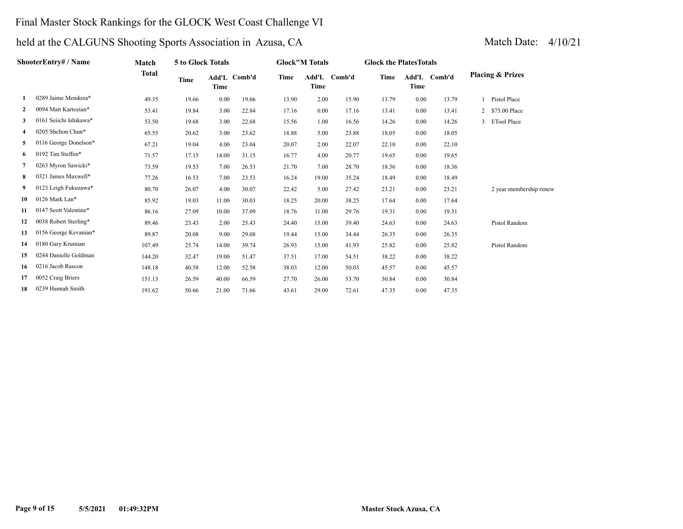### Final Master Stock Rankings for the GLOCK West Coast Challenge VI

| Match Date: |  |
|-------------|--|
|             |  |

|    | ShooterEntry# / Name   | Match        | 5 to Glock Totals |             | <b>Glock"M Totals</b> |       |       | <b>Glock the Plates Totals</b> |       |      |              |                             |
|----|------------------------|--------------|-------------------|-------------|-----------------------|-------|-------|--------------------------------|-------|------|--------------|-----------------------------|
|    |                        | <b>Total</b> | Time              | <b>Time</b> | Add'L Comb'd          | Time  | Time  | Add'L Comb'd                   | Time  | Time | Add'L Comb'd | <b>Placing &amp; Prizes</b> |
|    | 0289 Jaime Mendoza*    | 49.35        | 19.66             | 0.00        | 19.66                 | 13.90 | 2.00  | 15.90                          | 13.79 | 0.00 | 13.79        | Pistol Place                |
| 2  | 0094 Matt Kartozian*   | 53.41        | 19.84             | 3.00        | 22.84                 | 17.16 | 0.00  | 17.16                          | 13.41 | 0.00 | 13.41        | 2 \$75.00 Place             |
| 3  | 0161 Seiichi Ishikawa* | 53.50        | 19.68             | 3.00        | 22.68                 | 15.56 | 1.00  | 16.56                          | 14.26 | 0.00 | 14.26        | 3 ETool Place               |
| 4  | 0205 Shelton Chun*     | 65.55        | 20.62             | 3.00        | 23.62                 | 18.88 | 5.00  | 23.88                          | 18.05 | 0.00 | 18.05        |                             |
| 5  | 0116 George Donelson*  | 67.21        | 19.04             | 4.00        | 23.04                 | 20.07 | 2.00  | 22.07                          | 22.10 | 0.00 | 22.10        |                             |
| 6  | 0192 Tim Steffen*      | 71.57        | 17.15             | 14.00       | 31.15                 | 16.77 | 4.00  | 20.77                          | 19.65 | 0.00 | 19.65        |                             |
| 7  | 0263 Myron Sawicki*    | 73.59        | 19.53             | 7.00        | 26.53                 | 21.70 | 7.00  | 28.70                          | 18.36 | 0.00 | 18.36        |                             |
| 8  | 0321 James Maxwell*    | 77.26        | 16.53             | 7.00        | 23.53                 | 16.24 | 19.00 | 35.24                          | 18.49 | 0.00 | 18.49        |                             |
| 9  | 0123 Leigh Fukuzawa*   | 80.70        | 26.07             | 4.00        | 30.07                 | 22.42 | 5.00  | 27.42                          | 23.21 | 0.00 | 23.21        | 2 year membership renew     |
| 10 | 0126 Mark Lan*         | 85.92        | 19.03             | 11.00       | 30.03                 | 18.25 | 20.00 | 38.25                          | 17.64 | 0.00 | 17.64        |                             |
| 11 | 0147 Scott Valentine*  | 86.16        | 27.09             | 10.00       | 37.09                 | 18.76 | 11.00 | 29.76                          | 19.31 | 0.00 | 19.31        |                             |
| 12 | 0038 Robert Sterling*  | 89.46        | 23.43             | 2.00        | 25.43                 | 24.40 | 15.00 | 39.40                          | 24.63 | 0.00 | 24.63        | Pistol Random               |
| 13 | 0156 George Kevanian*  | 89.87        | 20.08             | 9.00        | 29.08                 | 19.44 | 15.00 | 34.44                          | 26.35 | 0.00 | 26.35        |                             |
| 14 | 0180 Gary Krumian      | 107.49       | 25.74             | 14.00       | 39.74                 | 26.93 | 15.00 | 41.93                          | 25.82 | 0.00 | 25.82        | Pistol Random               |
| 15 | 0244 Danielle Goldman  | 144.20       | 32.47             | 19.00       | 51.47                 | 37.51 | 17.00 | 54.51                          | 38.22 | 0.00 | 38.22        |                             |
| 16 | 0216 Jacob Rascon      | 148.18       | 40.58             | 12.00       | 52.58                 | 38.03 | 12.00 | 50.03                          | 45.57 | 0.00 | 45.57        |                             |
| 17 | 0052 Craig Briers      | 151.13       | 26.59             | 40.00       | 66.59                 | 27.70 | 26.00 | 53.70                          | 30.84 | 0.00 | 30.84        |                             |
| 18 | 0239 Hannah Smith      | 191.62       | 50.66             | 21.00       | 71.66                 | 43.61 | 29.00 | 72.61                          | 47.35 | 0.00 | 47.35        |                             |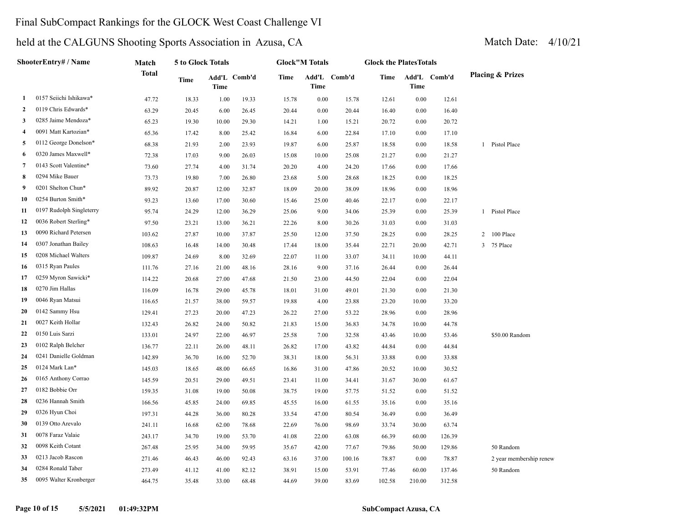### Final SubCompact Rankings for the GLOCK West Coast Challenge VI

| ShooterEntry# / Name |                          | Match        | 5 to Glock Totals |             |              | <b>Glock"M Totals</b> |             |              | <b>Glock the PlatesTotals</b> |        |              |                             |  |  |
|----------------------|--------------------------|--------------|-------------------|-------------|--------------|-----------------------|-------------|--------------|-------------------------------|--------|--------------|-----------------------------|--|--|
|                      |                          | <b>Total</b> | <b>Time</b>       | <b>Time</b> | Add'L Comb'd | Time                  | <b>Time</b> | Add'L Comb'd | Time                          | Time   | Add'L Comb'd | <b>Placing &amp; Prizes</b> |  |  |
| 1                    | 0157 Seiichi Ishikawa*   | 47.72        | 18.33             | 1.00        | 19.33        | 15.78                 | $0.00\,$    | 15.78        | 12.61                         | 0.00   | 12.61        |                             |  |  |
| $\mathbf{2}$         | 0119 Chris Edwards*      | 63.29        | 20.45             | 6.00        | 26.45        | 20.44                 | 0.00        | 20.44        | 16.40                         | 0.00   | 16.40        |                             |  |  |
| 3                    | 0285 Jaime Mendoza*      | 65.23        | 19.30             | 10.00       | 29.30        | 14.21                 | 1.00        | 15.21        | 20.72                         | 0.00   | 20.72        |                             |  |  |
| $\overline{4}$       | 0091 Matt Kartozian*     | 65.36        | 17.42             | 8.00        | 25.42        | 16.84                 | 6.00        | 22.84        | 17.10                         | 0.00   | 17.10        |                             |  |  |
| 5                    | 0112 George Donelson*    | 68.38        | 21.93             | 2.00        | 23.93        | 19.87                 | 6.00        | 25.87        | 18.58                         | 0.00   | 18.58        | 1 Pistol Place              |  |  |
| 6                    | 0320 James Maxwell*      | 72.38        | 17.03             | 9.00        | 26.03        | 15.08                 | 10.00       | 25.08        | 21.27                         | 0.00   | 21.27        |                             |  |  |
| 7                    | 0143 Scott Valentine*    | 73.60        | 27.74             | 4.00        | 31.74        | 20.20                 | 4.00        | 24.20        | 17.66                         | 0.00   | 17.66        |                             |  |  |
| 8                    | 0294 Mike Bauer          | 73.73        | 19.80             | 7.00        | 26.80        | 23.68                 | 5.00        | 28.68        | 18.25                         | 0.00   | 18.25        |                             |  |  |
| 9                    | 0201 Shelton Chun*       | 89.92        | 20.87             | 12.00       | 32.87        | 18.09                 | 20.00       | 38.09        | 18.96                         | 0.00   | 18.96        |                             |  |  |
| 10                   | 0254 Burton Smith*       | 93.23        | 13.60             | 17.00       | 30.60        | 15.46                 | 25.00       | 40.46        | 22.17                         | 0.00   | 22.17        |                             |  |  |
| 11                   | 0197 Rudolph Singleterry | 95.74        | 24.29             | 12.00       | 36.29        | 25.06                 | 9.00        | 34.06        | 25.39                         | 0.00   | 25.39        | 1 Pistol Place              |  |  |
| 12                   | 0036 Robert Sterling*    | 97.50        | 23.21             | 13.00       | 36.21        | 22.26                 | 8.00        | 30.26        | 31.03                         | 0.00   | 31.03        |                             |  |  |
| 13                   | 0090 Richard Petersen    | 103.62       | 27.87             | 10.00       | 37.87        | 25.50                 | 12.00       | 37.50        | 28.25                         | 0.00   | 28.25        | 2 100 Place                 |  |  |
| 14                   | 0307 Jonathan Bailey     | 108.63       | 16.48             | 14.00       | 30.48        | 17.44                 | 18.00       | 35.44        | 22.71                         | 20.00  | 42.71        | 3 75 Place                  |  |  |
| 15                   | 0208 Michael Walters     | 109.87       | 24.69             | 8.00        | 32.69        | 22.07                 | 11.00       | 33.07        | 34.11                         | 10.00  | 44.11        |                             |  |  |
| 16                   | 0315 Ryan Paules         | 111.76       | 27.16             | 21.00       | 48.16        | 28.16                 | 9.00        | 37.16        | 26.44                         | 0.00   | 26.44        |                             |  |  |
| 17                   | 0259 Myron Sawicki*      | 114.22       | 20.68             | 27.00       | 47.68        | 21.50                 | 23.00       | 44.50        | 22.04                         | 0.00   | 22.04        |                             |  |  |
| 18                   | 0270 Jim Hallas          | 116.09       | 16.78             | 29.00       | 45.78        | 18.01                 | 31.00       | 49.01        | 21.30                         | 0.00   | 21.30        |                             |  |  |
| 19                   | 0046 Ryan Matsui         | 116.65       | 21.57             | 38.00       | 59.57        | 19.88                 | 4.00        | 23.88        | 23.20                         | 10.00  | 33.20        |                             |  |  |
| 20                   | 0142 Sammy Hsu           | 129.41       | 27.23             | 20.00       | 47.23        | 26.22                 | 27.00       | 53.22        | 28.96                         | 0.00   | 28.96        |                             |  |  |
| 21                   | 0027 Keith Hollar        | 132.43       | 26.82             | 24.00       | 50.82        | 21.83                 | 15.00       | 36.83        | 34.78                         | 10.00  | 44.78        |                             |  |  |
| 22                   | 0150 Luis Sarzi          | 133.01       | 24.97             | 22.00       | 46.97        | 25.58                 | 7.00        | 32.58        | 43.46                         | 10.00  | 53.46        | \$50.00 Random              |  |  |
| 23                   | 0102 Ralph Belcher       | 136.77       | 22.11             | 26.00       | 48.11        | 26.82                 | 17.00       | 43.82        | 44.84                         | 0.00   | 44.84        |                             |  |  |
| 24                   | 0241 Danielle Goldman    | 142.89       | 36.70             | 16.00       | 52.70        | 38.31                 | 18.00       | 56.31        | 33.88                         | 0.00   | 33.88        |                             |  |  |
| 25                   | 0124 Mark Lan*           | 145.03       | 18.65             | 48.00       | 66.65        | 16.86                 | 31.00       | 47.86        | 20.52                         | 10.00  | 30.52        |                             |  |  |
| 26                   | 0165 Anthony Corrao      | 145.59       | 20.51             | 29.00       | 49.51        | 23.41                 | 11.00       | 34.41        | 31.67                         | 30.00  | 61.67        |                             |  |  |
| 27                   | 0182 Bobbie Orr          | 159.35       | 31.08             | 19.00       | 50.08        | 38.75                 | 19.00       | 57.75        | 51.52                         | 0.00   | 51.52        |                             |  |  |
| 28                   | 0236 Hannah Smith        | 166.56       | 45.85             | 24.00       | 69.85        | 45.55                 | 16.00       | 61.55        | 35.16                         | 0.00   | 35.16        |                             |  |  |
| 29                   | 0326 Hyun Choi           | 197.31       | 44.28             | 36.00       | 80.28        | 33.54                 | 47.00       | 80.54        | 36.49                         | 0.00   | 36.49        |                             |  |  |
| 30                   | 0139 Otto Arevalo        | 241.11       | 16.68             | 62.00       | 78.68        | 22.69                 | 76.00       | 98.69        | 33.74                         | 30.00  | 63.74        |                             |  |  |
| 31                   | 0078 Faraz Valaie        | 243.17       | 34.70             | 19.00       | 53.70        | 41.08                 | 22.00       | 63.08        | 66.39                         | 60.00  | 126.39       |                             |  |  |
| 32                   | 0098 Keith Cotant        | 267.48       | 25.95             | 34.00       | 59.95        | 35.67                 | 42.00       | 77.67        | 79.86                         | 50.00  | 129.86       | 50 Random                   |  |  |
| 33                   | 0213 Jacob Rascon        | 271.46       | 46.43             | 46.00       | 92.43        | 63.16                 | 37.00       | 100.16       | 78.87                         | 0.00   | 78.87        | 2 year membership renew     |  |  |
| 34                   | 0284 Ronald Taber        | 273.49       | 41.12             | 41.00       | 82.12        | 38.91                 | 15.00       | 53.91        | 77.46                         | 60.00  | 137.46       | 50 Random                   |  |  |
| 35                   | 0095 Walter Kronberger   | 464.75       | 35.48             | 33.00       | 68.48        | 44.69                 | 39.00       | 83.69        | 102.58                        | 210.00 | 312.58       |                             |  |  |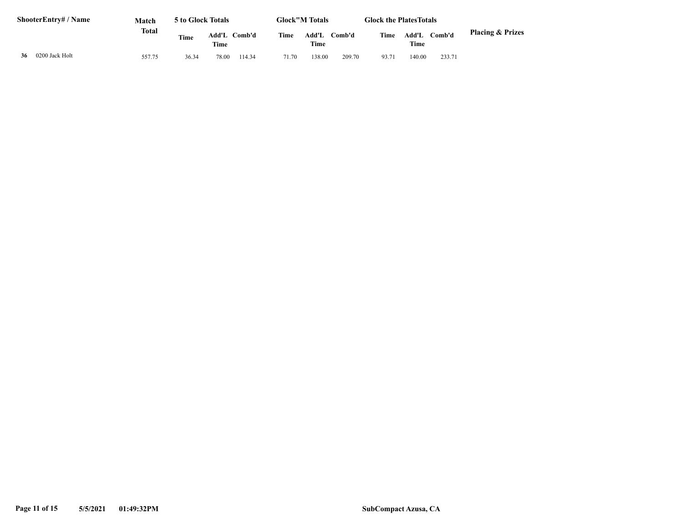| <b>ShooterEntry#/Name</b> |                | Match<br>Total | 5 to Glock Totals |               |        |       | <b>Glock"M Totals</b> |        |       | <b>Glock the Plates Totals</b> |        |                             |
|---------------------------|----------------|----------------|-------------------|---------------|--------|-------|-----------------------|--------|-------|--------------------------------|--------|-----------------------------|
|                           |                |                | <b>Time</b>       | Add'L<br>Time | Comb'd | Time  | Add'L<br>Time         | Comb'd | Time  | Add'L<br>Time                  | Comb'd | <b>Placing &amp; Prizes</b> |
| 36                        | 0200 Jack Holt | 557.75         | 36.34             | 78.00         | 114.34 | 71.70 | 138.00                | 209.70 | 93.71 | 140.00                         | 233.71 |                             |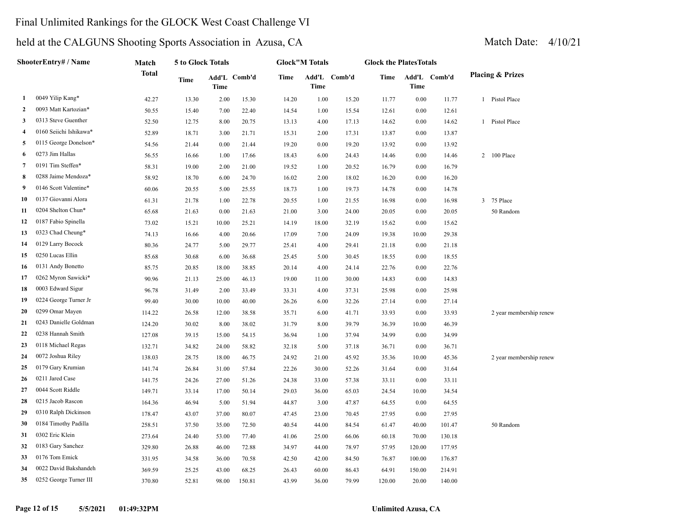### Final Unlimited Rankings for the GLOCK West Coast Challenge VI

| ShooterEntry# / Name |                        | Match  | 5 to Glock Totals |       |              | <b>Glock"M Totals</b> |             |              | <b>Glock the PlatesTotals</b> |             |              |                             |  |
|----------------------|------------------------|--------|-------------------|-------|--------------|-----------------------|-------------|--------------|-------------------------------|-------------|--------------|-----------------------------|--|
|                      |                        | Total  | Time              | Time  | Add'L Comb'd | Time                  | <b>Time</b> | Add'L Comb'd | Time                          | <b>Time</b> | Add'L Comb'd | <b>Placing &amp; Prizes</b> |  |
| 1                    | 0049 Yilip Kang*       | 42.27  | 13.30             | 2.00  | 15.30        | 14.20                 | 1.00        | 15.20        | 11.77                         | 0.00        | 11.77        | 1 Pistol Place              |  |
| $\overline{2}$       | 0093 Matt Kartozian*   | 50.55  | 15.40             | 7.00  | 22.40        | 14.54                 | 1.00        | 15.54        | 12.61                         | 0.00        | 12.61        |                             |  |
| 3                    | 0313 Steve Guenther    | 52.50  | 12.75             | 8.00  | 20.75        | 13.13                 | 4.00        | 17.13        | 14.62                         | 0.00        | 14.62        | 1 Pistol Place              |  |
| 4                    | 0160 Seiichi Ishikawa* | 52.89  | 18.71             | 3.00  | 21.71        | 15.31                 | 2.00        | 17.31        | 13.87                         | 0.00        | 13.87        |                             |  |
| 5                    | 0115 George Donelson*  | 54.56  | 21.44             | 0.00  | 21.44        | 19.20                 | 0.00        | 19.20        | 13.92                         | 0.00        | 13.92        |                             |  |
| 6                    | 0273 Jim Hallas        | 56.55  | 16.66             | 1.00  | 17.66        | 18.43                 | 6.00        | 24.43        | 14.46                         | 0.00        | 14.46        | 2 100 Place                 |  |
| 7                    | 0191 Tim Steffen*      | 58.31  | 19.00             | 2.00  | 21.00        | 19.52                 | 1.00        | 20.52        | 16.79                         | 0.00        | 16.79        |                             |  |
| 8                    | 0288 Jaime Mendoza*    | 58.92  | 18.70             | 6.00  | 24.70        | 16.02                 | 2.00        | 18.02        | 16.20                         | 0.00        | 16.20        |                             |  |
| 9                    | 0146 Scott Valentine*  | 60.06  | 20.55             | 5.00  | 25.55        | 18.73                 | 1.00        | 19.73        | 14.78                         | 0.00        | 14.78        |                             |  |
| 10                   | 0137 Giovanni Alora    | 61.31  | 21.78             | 1.00  | 22.78        | 20.55                 | 1.00        | 21.55        | 16.98                         | 0.00        | 16.98        | 3 75 Place                  |  |
| 11                   | 0204 Shelton Chun*     | 65.68  | 21.63             | 0.00  | 21.63        | 21.00                 | 3.00        | 24.00        | 20.05                         | 0.00        | 20.05        | 50 Random                   |  |
| 12                   | 0187 Fabio Spinella    | 73.02  | 15.21             | 10.00 | 25.21        | 14.19                 | 18.00       | 32.19        | 15.62                         | 0.00        | 15.62        |                             |  |
| 13                   | 0323 Chad Cheung*      | 74.13  | 16.66             | 4.00  | 20.66        | 17.09                 | 7.00        | 24.09        | 19.38                         | 10.00       | 29.38        |                             |  |
| 14                   | 0129 Larry Bocock      | 80.36  | 24.77             | 5.00  | 29.77        | 25.41                 | 4.00        | 29.41        | 21.18                         | 0.00        | 21.18        |                             |  |
| 15                   | 0250 Lucas Ellin       | 85.68  | 30.68             | 6.00  | 36.68        | 25.45                 | 5.00        | 30.45        | 18.55                         | 0.00        | 18.55        |                             |  |
| 16                   | 0131 Andy Bonetto      | 85.75  | 20.85             | 18.00 | 38.85        | 20.14                 | 4.00        | 24.14        | 22.76                         | 0.00        | 22.76        |                             |  |
| 17                   | 0262 Myron Sawicki*    | 90.96  | 21.13             | 25.00 | 46.13        | 19.00                 | 11.00       | 30.00        | 14.83                         | 0.00        | 14.83        |                             |  |
| 18                   | 0003 Edward Sigur      | 96.78  | 31.49             | 2.00  | 33.49        | 33.31                 | 4.00        | 37.31        | 25.98                         | 0.00        | 25.98        |                             |  |
| 19                   | 0224 George Turner Jr  | 99.40  | 30.00             | 10.00 | 40.00        | 26.26                 | 6.00        | 32.26        | 27.14                         | 0.00        | 27.14        |                             |  |
| 20                   | 0299 Omar Mayen        | 114.22 | 26.58             | 12.00 | 38.58        | 35.71                 | 6.00        | 41.71        | 33.93                         | 0.00        | 33.93        | 2 year membership renew     |  |
| 21                   | 0243 Danielle Goldman  | 124.20 | 30.02             | 8.00  | 38.02        | 31.79                 | 8.00        | 39.79        | 36.39                         | 10.00       | 46.39        |                             |  |
| 22                   | 0238 Hannah Smith      | 127.08 | 39.15             | 15.00 | 54.15        | 36.94                 | 1.00        | 37.94        | 34.99                         | 0.00        | 34.99        |                             |  |
| 23                   | 0118 Michael Regas     | 132.71 | 34.82             | 24.00 | 58.82        | 32.18                 | 5.00        | 37.18        | 36.71                         | 0.00        | 36.71        |                             |  |
| 24                   | 0072 Joshua Riley      | 138.03 | 28.75             | 18.00 | 46.75        | 24.92                 | 21.00       | 45.92        | 35.36                         | 10.00       | 45.36        | 2 year membership renew     |  |
| 25                   | 0179 Gary Krumian      | 141.74 | 26.84             | 31.00 | 57.84        | 22.26                 | 30.00       | 52.26        | 31.64                         | 0.00        | 31.64        |                             |  |
| 26                   | 0211 Jared Case        | 141.75 | 24.26             | 27.00 | 51.26        | 24.38                 | 33.00       | 57.38        | 33.11                         | 0.00        | 33.11        |                             |  |
| 27                   | 0044 Scott Riddle      | 149.71 | 33.14             | 17.00 | 50.14        | 29.03                 | 36.00       | 65.03        | 24.54                         | 10.00       | 34.54        |                             |  |
| 28                   | 0215 Jacob Rascon      | 164.36 | 46.94             | 5.00  | 51.94        | 44.87                 | 3.00        | 47.87        | 64.55                         | 0.00        | 64.55        |                             |  |
| 29                   | 0310 Ralph Dickinson   | 178.47 | 43.07             | 37.00 | 80.07        | 47.45                 | 23.00       | 70.45        | 27.95                         | 0.00        | 27.95        |                             |  |
| 30                   | 0184 Timothy Padilla   | 258.51 | 37.50             | 35.00 | 72.50        | 40.54                 | 44.00       | 84.54        | 61.47                         | 40.00       | 101.47       | 50 Random                   |  |
| 31                   | 0302 Eric Klein        | 273.64 | 24.40             | 53.00 | 77.40        | 41.06                 | 25.00       | 66.06        | 60.18                         | 70.00       | 130.18       |                             |  |
| 32                   | 0183 Gary Sanchez      | 329.80 | 26.88             | 46.00 | 72.88        | 34.97                 | 44.00       | 78.97        | 57.95                         | 120.00      | 177.95       |                             |  |
| 33                   | 0176 Tom Emick         | 331.95 | 34.58             | 36.00 | 70.58        | 42.50                 | 42.00       | 84.50        | 76.87                         | 100.00      | 176.87       |                             |  |
| 34                   | 0022 David Bakshandeh  | 369.59 | 25.25             | 43.00 | 68.25        | 26.43                 | 60.00       | 86.43        | 64.91                         | 150.00      | 214.91       |                             |  |
| 35                   | 0252 George Turner III | 370.80 | 52.81             | 98.00 | 150.81       | 43.99                 | 36.00       | 79.99        | 120.00                        | 20.00       | 140.00       |                             |  |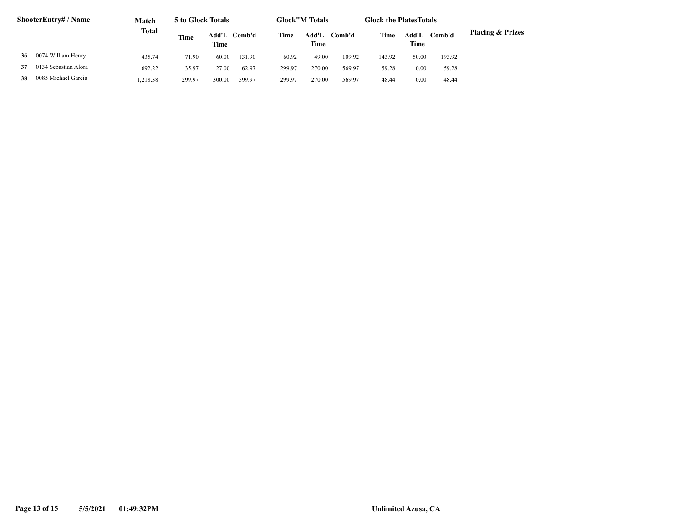| <b>ShooterEntry#/Name</b> |                      | Match        | 5 to Glock Totals |        |              | <b>Glock"M Totals</b> |               |                | <b>Glock the Plates Totals</b> |               |        |                             |
|---------------------------|----------------------|--------------|-------------------|--------|--------------|-----------------------|---------------|----------------|--------------------------------|---------------|--------|-----------------------------|
|                           |                      | <b>Total</b> | Time              | Time   | Add'L Comb'd | Time                  | Add'L<br>Time | C <b>omb'd</b> | Time                           | Add'L<br>Time | Comb'd | <b>Placing &amp; Prizes</b> |
| 36                        | 0074 William Henry   | 435.74       | 71.90             | 60.00  | 131.90       | 60.92                 | 49.00         | 109.92         | 143.92                         | 50.00         | 193.92 |                             |
| 37                        | 0134 Sebastian Alora | 692.22       | 35.97             | 27.00  | 62.97        | 299.97                | 270.00        | 569.97         | 59.28                          | 0.00          | 59.28  |                             |
| 38                        | 0085 Michael Garcia  | 1.218.38     | 299.97            | 300.00 | 599.97       | 299.97                | 270.00        | 569.97         | 48.44                          | 0.00          | 48.44  |                             |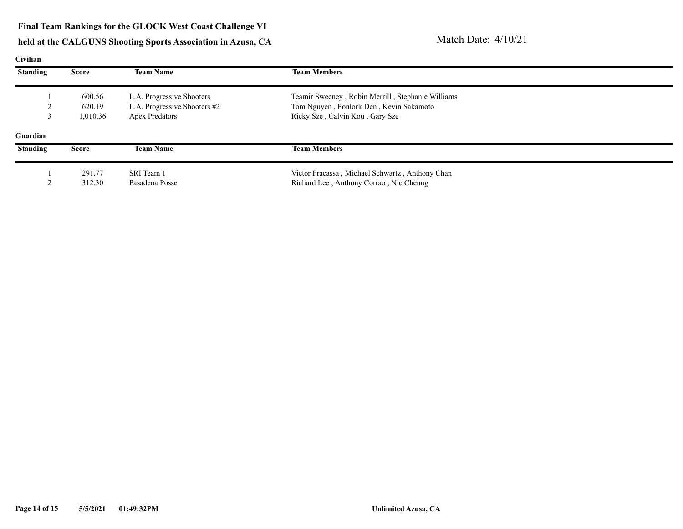| Civilian        |              |                              |                                                   |  |
|-----------------|--------------|------------------------------|---------------------------------------------------|--|
| <b>Standing</b> | <b>Score</b> | <b>Team Name</b>             | <b>Team Members</b>                               |  |
|                 | 600.56       | L.A. Progressive Shooters    | Teamir Sweeney, Robin Merrill, Stephanie Williams |  |
|                 | 620.19       | L.A. Progressive Shooters #2 | Tom Nguyen, Ponlork Den, Kevin Sakamoto           |  |
|                 | 1,010.36     | <b>Apex Predators</b>        | Ricky Sze, Calvin Kou, Gary Sze                   |  |
| Guardian        |              |                              |                                                   |  |
| <b>Standing</b> | <b>Score</b> | <b>Team Name</b>             | <b>Team Members</b>                               |  |
|                 | 291.77       | SRI Team 1                   | Victor Fracassa, Michael Schwartz, Anthony Chan   |  |
|                 | 312.30       | Pasadena Posse               | Richard Lee, Anthony Corrao, Nic Cheung           |  |